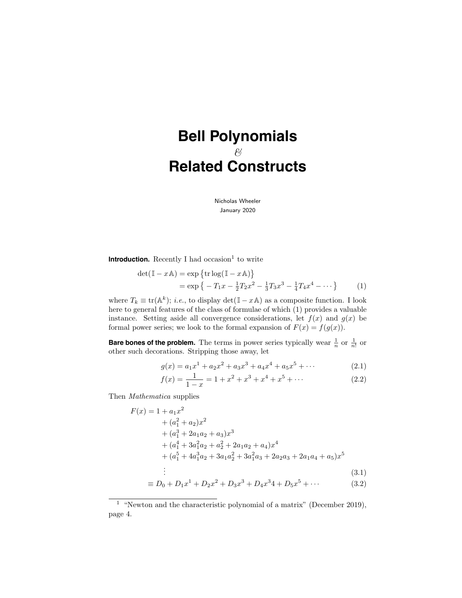# **Bell Polynomials**  $\mathscr{C}$ **Related Constructs**

Nicholas Wheeler January 2020

**Introduction.** Recently I had occasion<sup>1</sup> to write

$$
\det(\mathbb{I} - x\mathbb{A}) = \exp\left\{\text{tr}\log(\mathbb{I} - x\mathbb{A})\right\}
$$
  
=  $\exp\left\{-T_1x - \frac{1}{2}T_2x^2 - \frac{1}{3}T_3x^3 - \frac{1}{4}T_4x^4 - \cdots\right\}$  (1)

where  $T_k \equiv \text{tr}(\mathbb{A}^k)$ ; *i.e.*, to display  $\det(\mathbb{I} - x\mathbb{A})$  as a composite function. I look here to general features of the class of formulae of which (1) provides a valuable instance. Setting aside all convergence considerations, let  $f(x)$  and  $g(x)$  be formal power series; we look to the formal expansion of  $F(x) = f(g(x))$ .

**Bare bones of the problem.** The terms in power series typically wear  $\frac{1}{n}$  or  $\frac{1}{n!}$  or other such decorations. Stripping those away, let

$$
g(x) = a_1 x^1 + a_2 x^2 + a_3 x^3 + a_4 x^4 + a_5 x^5 + \cdots
$$
 (2.1)

$$
f(x) = \frac{1}{1-x} = 1 + x^2 + x^3 + x^4 + x^5 + \dots
$$
 (2.2)

Then Mathematica supplies

$$
F(x) = 1 + a_1 x^2
$$
  
+  $(a_1^2 + a_2)x^2$   
+  $(a_1^3 + 2a_1a_2 + a_3)x^3$   
+  $(a_1^4 + 3a_1^2a_2 + a_2^2 + 2a_1a_2 + a_4)x^4$   
+  $(a_1^5 + 4a_1^3a_2 + 3a_1a_2^2 + 3a_1^2a_3 + 2a_2a_3 + 2a_1a_4 + a_5)x^5$   
: (3.1)

$$
\equiv D_0 + D_1 x^1 + D_2 x^2 + D_3 x^3 + D_4 x^3 + D_5 x^5 + \cdots \tag{3.2}
$$

<sup>&</sup>lt;sup>1</sup> "Newton and the characteristic polynomial of a matrix" (December 2019), page 4.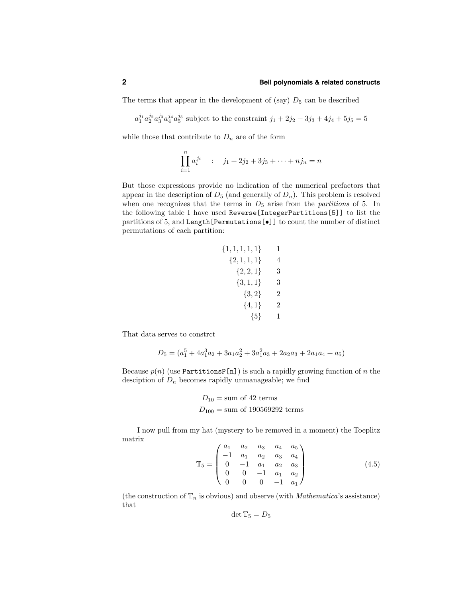The terms that appear in the development of (say)  $D_5$  can be described

 $a_1^{j_1} a_2^{j_2} a_3^{j_3} a_4^{j_4} a_5^{j_5}$  subject to the constraint  $j_1 + 2j_2 + 3j_3 + 4j_4 + 5j_5 = 5$ 

while those that contribute to  $D_n$  are of the form

$$
\prod_{i=1}^{n} a_i^{j_i} \qquad : \qquad j_1 + 2j_2 + 3j_3 + \dots + nj_n = n
$$

But those expressions provide no indication of the numerical prefactors that appear in the description of  $D_5$  (and generally of  $D_n$ ). This problem is resolved when one recognizes that the terms in  $D_5$  arise from the *partitions* of 5. In the following table I have used Reverse[IntegerPartitions[5]] to list the partitions of 5, and Length[Permutations[•]] to count the number of distinct permutations of each partition:

$$
\{1, 1, 1, 1, 1\} \qquad 1
$$
  

$$
\{2, 1, 1, 1\} \qquad 4
$$
  

$$
\{2, 2, 1\} \qquad 3
$$
  

$$
\{3, 1, 1\} \qquad 3
$$
  

$$
\{3, 2\} \qquad 2
$$
  

$$
\{4, 1\} \qquad 2
$$
  

$$
\{5\} \qquad 1
$$

That data serves to constrct

$$
D_5 = (a_1^5 + 4a_1^3a_2 + 3a_1a_2^2 + 3a_1^2a_3 + 2a_2a_3 + 2a_1a_4 + a_5)
$$

Because  $p(n)$  (use PartitionsP[n]) is such a rapidly growing function of n the desciption of  $D_n$  becomes rapidly unmanageable; we find

$$
D_{10} = \text{sum of 42 terms}
$$
  

$$
D_{100} = \text{sum of 190569292 terms}
$$

I now pull from my hat (mystery to be removed in a moment) the Toeplitz matrix

$$
\mathbb{T}_5 = \begin{pmatrix} a_1 & a_2 & a_3 & a_4 & a_5 \\ -1 & a_1 & a_2 & a_3 & a_4 \\ 0 & -1 & a_1 & a_2 & a_3 \\ 0 & 0 & -1 & a_1 & a_2 \\ 0 & 0 & 0 & -1 & a_1 \end{pmatrix}
$$
(4.5)

(the construction of  $\mathbb{T}_n$  is obvious) and observe (with *Mathematica's* assistance) that

$$
\det \mathbb{T}_5 = D_5
$$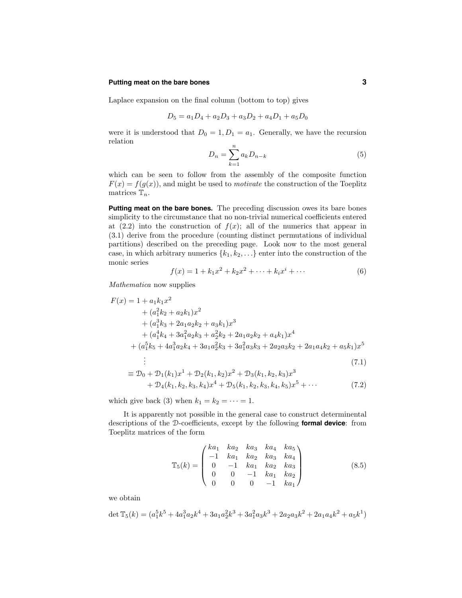#### **Putting meat on the bare bones 3**

Laplace expansion on the final column (bottom to top) gives

$$
D_5 = a_1 D_4 + a_2 D_3 + a_3 D_2 + a_4 D_1 + a_5 D_0
$$

were it is understood that  $D_0 = 1, D_1 = a_1$ . Generally, we have the recursion relation

$$
D_n = \sum_{k=1}^n a_k D_{n-k} \tag{5}
$$

which can be seen to follow from the assembly of the composite function  $F(x) = f(g(x))$ , and might be used to *motivate* the construction of the Toeplitz matrices  $\mathbb{T}_n$ .

**Putting meat on the bare bones.** The preceding discussion owes its bare bones simplicity to the circumstance that no non-trivial numerical coefficients entered at  $(2.2)$  into the construction of  $f(x)$ ; all of the numerics that appear in (3.1) derive from the procedure (counting distinct permutations of individual partitions) described on the preceding page. Look now to the most general case, in which arbitrary numerics  $\{k_1, k_2, \ldots\}$  enter into the construction of the monic series

$$
f(x) = 1 + k_1 x^2 + k_2 x^2 + \dots + k_i x^i + \dots
$$
 (6)

Mathematica now supplies

$$
F(x) = 1 + a_1 k_1 x^2
$$
  
+  $(a_1^2 k_2 + a_2 k_1) x^2$   
+  $(a_1^3 k_3 + 2a_1 a_2 k_2 + a_3 k_1) x^3$   
+  $(a_1^4 k_4 + 3a_1^2 a_2 k_3 + a_2^2 k_2 + 2a_1 a_2 k_2 + a_4 k_1) x^4$   
+  $(a_1^5 k_5 + 4a_1^3 a_2 k_4 + 3a_1 a_2^2 k_3 + 3a_1^2 a_3 k_3 + 2a_2 a_3 k_2 + 2a_1 a_4 k_2 + a_5 k_1) x^5$   
:  
=  $D_0 + D_1(k_1) x^1 + D_2(k_2 k_2) x^2 + D_2(k_1 k_2 k_3) x^3$  (7.1)

$$
\equiv \mathcal{D}_0 + \mathcal{D}_1(k_1)x^1 + \mathcal{D}_2(k_1, k_2)x^2 + \mathcal{D}_3(k_1, k_2, k_3)x^3 + \mathcal{D}_4(k_1, k_2, k_3, k_4)x^4 + \mathcal{D}_5(k_1, k_2, k_3, k_4, k_5)x^5 + \cdots
$$
\n(7.2)

which give back (3) when  $k_1 = k_2 = \cdots = 1$ .

It is apparently not possible in the general case to construct determinental descriptions of the D-coefficients, except by the following **formal device**: from Toeplitz matrices of the form

$$
\mathbb{T}_5(k) = \begin{pmatrix} ka_1 & ka_2 & ka_3 & ka_4 & ka_5 \\ -1 & ka_1 & ka_2 & ka_3 & ka_4 \\ 0 & -1 & ka_1 & ka_2 & ka_3 \\ 0 & 0 & -1 & ka_1 & ka_2 \\ 0 & 0 & 0 & -1 & ka_1 \end{pmatrix}
$$
 (8.5)

we obtain

$$
\det \mathbb{T}_5(k) = (a_1^5 k^5 + 4a_1^3 a_2 k^4 + 3a_1 a_2^2 k^3 + 3a_1^2 a_3 k^3 + 2a_2 a_3 k^2 + 2a_1 a_4 k^2 + a_5 k^1)
$$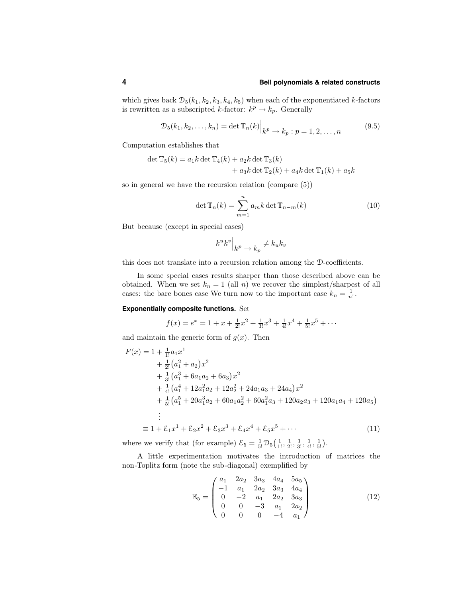which gives back  $\mathcal{D}_5(k_1, k_2, k_3, k_4, k_5)$  when each of the exponentiated k-factors is rewritten as a subscripted k-factor:  $k^p \rightarrow k_p$ . Generally

$$
\mathcal{D}_5(k_1, k_2, \dots, k_n) = \det \mathbb{T}_n(k) \Big|_{k^p \to k_p : p = 1, 2, \dots, n} \tag{9.5}
$$

Computation establishes that

$$
\det \mathbb{T}_5(k) = a_1 k \det \mathbb{T}_4(k) + a_2 k \det \mathbb{T}_3(k)
$$
  
+ 
$$
a_3 k \det \mathbb{T}_2(k) + a_4 k \det \mathbb{T}_1(k) + a_5 k
$$

so in general we have the recursion relation (compare (5))

$$
\det \mathbb{T}_n(k) = \sum_{m=1}^n a_m k \det \mathbb{T}_{n-m}(k)
$$
 (10)

But because (except in special cases)

$$
k^uk^v\Big|_{k^p\, \to\, k_p} \neq k_uk_v
$$

this does not translate into a recursion relation among the D-coefficients.

In some special cases results sharper than those described above can be obtained. When we set  $k_n = 1$  (all n) we recover the simplest/sharpest of all cases: the bare bones case We turn now to the important case  $k_n = \frac{1}{n!}$ .

#### **Exponentially composite functions.** Set

$$
f(x) = e^x = 1 + x + \frac{1}{2!}x^2 + \frac{1}{3!}x^3 + \frac{1}{4!}x^4 + \frac{1}{5!}x^5 + \cdots
$$

and maintain the generic form of  $g(x)$ . Then

$$
F(x) = 1 + \frac{1}{1!}a_1x^1
$$
  
+  $\frac{1}{2!}(a_1^2 + a_2)x^2$   
+  $\frac{1}{3!}(a_1^3 + 6a_1a_2 + 6a_3)x^2$   
+  $\frac{1}{4!}(a_1^4 + 12a_1^2a_2 + 12a_2^2 + 24a_1a_3 + 24a_4)x^2$   
+  $\frac{1}{5!}(a_1^5 + 20a_1^3a_2 + 60a_1a_2^2 + 60a_1^2a_3 + 120a_2a_3 + 120a_1a_4 + 120a_5)$   
:  
=  $1 + \mathcal{E}_1x^1 + \mathcal{E}_2x^2 + \mathcal{E}_3x^3 + \mathcal{E}_4x^4 + \mathcal{E}_5x^5 + \cdots$  (11)

where we verify that (for example)  $\mathcal{E}_5 = \frac{1}{5!} \mathcal{D}_5(\frac{1}{1!}, \frac{1}{2!}, \frac{1}{3!}, \frac{1}{4!}, \frac{1}{5!}).$ 

A little experimentation motivates the introduction of matrices the non-Toplitz form (note the sub-diagonal) exemplified by

$$
\mathbb{E}_5 = \begin{pmatrix} a_1 & 2a_2 & 3a_3 & 4a_4 & 5a_5 \\ -1 & a_1 & 2a_2 & 3a_3 & 4a_4 \\ 0 & -2 & a_1 & 2a_2 & 3a_3 \\ 0 & 0 & -3 & a_1 & 2a_2 \\ 0 & 0 & 0 & -4 & a_1 \end{pmatrix}
$$
(12)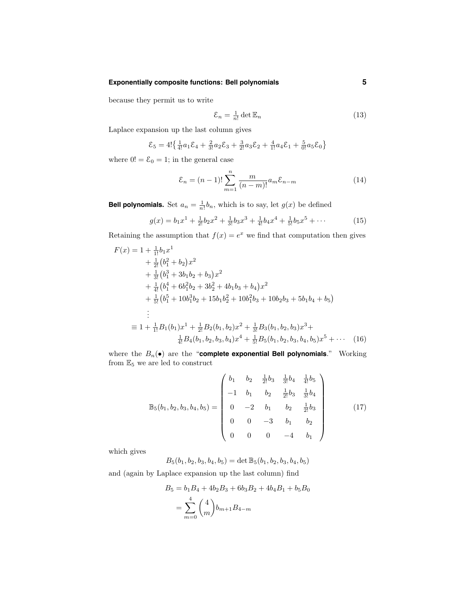# **Exponentially composite functions: Bell polynomials 5**

because they permit us to write

$$
\mathcal{E}_n = \frac{1}{n!} \det \mathbb{E}_n \tag{13}
$$

Laplace expansion up the last column gives

$$
\mathcal{E}_5 = 4! \left\{ \frac{1}{4!} a_1 \mathcal{E}_4 + \frac{2}{3!} a_2 \mathcal{E}_3 + \frac{3}{2!} a_3 \mathcal{E}_2 + \frac{4}{1!} a_4 \mathcal{E}_1 + \frac{5}{0!} a_5 \mathcal{E}_0 \right\}
$$

where  $0! = \mathcal{E}_0 = 1$ ; in the general case

$$
\mathcal{E}_n = (n-1)! \sum_{m=1}^n \frac{m}{(n-m)!} a_m \mathcal{E}_{n-m}
$$
 (14)

**Bell polynomials.** Set  $a_n = \frac{1}{n!}b_n$ , which is to say, let  $g(x)$  be defined

$$
g(x) = b_1 x^1 + \frac{1}{2!} b_2 x^2 + \frac{1}{3!} b_3 x^3 + \frac{1}{4!} b_4 x^4 + \frac{1}{5!} b_5 x^5 + \cdots
$$
 (15)

Retaining the assumption that  $f(x) = e^x$  we find that computation then gives

$$
F(x) = 1 + \frac{1}{1!}b_1x^1
$$
  
+  $\frac{1}{2!}(b_1^2 + b_2)x^2$   
+  $\frac{1}{3!}(b_1^3 + 3b_1b_2 + b_3)x^2$   
+  $\frac{1}{4!}(b_1^4 + 6b_1^2b_2 + 3b_2^2 + 4b_1b_3 + b_4)x^2$   
+  $\frac{1}{5!}(b_1^5 + 10b_1^3b_2 + 15b_1b_2^2 + 10b_1^2b_3 + 10b_2b_3 + 5b_1b_4 + b_5)$   
 $\vdots$   
=  $1 + \frac{1}{1!}B_1(b_1)x^1 + \frac{1}{2!}B_2(b_1, b_2)x^2 + \frac{1}{3!}B_3(b_1, b_2, b_3)x^3 + \frac{1}{4!}B_4(b_1, b_2, b_3, b_4)x^4 + \frac{1}{5!}B_5(b_1, b_2, b_3, b_4, b_5)x^5 + \cdots$  (16)

where the  $B_n(\bullet)$  are the "**complete exponential Bell polynomials**." Working from  $\mathbb{E}_5$  we are led to construct

$$
\mathbb{B}_5(b_1, b_2, b_3, b_4, b_5) = \begin{pmatrix} b_1 & b_2 & \frac{1}{2!}b_3 & \frac{1}{3!}b_4 & \frac{1}{4!}b_5 \\ -1 & b_1 & b_2 & \frac{1}{2!}b_3 & \frac{1}{3!}b_4 \\ 0 & -2 & b_1 & b_2 & \frac{1}{2!}b_3 \\ 0 & 0 & -3 & b_1 & b_2 \\ 0 & 0 & 0 & -4 & b_1 \end{pmatrix}
$$
(17)

which gives

 $B_5(b_1, b_2, b_3, b_4, b_5) = \det \mathbb{B}_5(b_1, b_2, b_3, b_4, b_5)$ 

and (again by Laplace expansion up the last column) find

$$
B_5 = b_1 B_4 + 4b_2 B_3 + 6b_3 B_2 + 4b_4 B_1 + b_5 B_0
$$
  
= 
$$
\sum_{m=0}^{4} {4 \choose m} b_{m+1} B_{4-m}
$$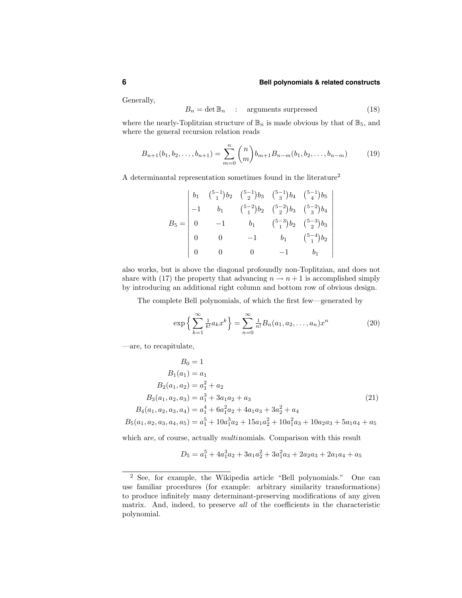$\overline{\phantom{a}}$  $\overline{\phantom{a}}$  $\overline{\phantom{a}}$  $\overline{\phantom{a}}$  $\overline{\phantom{a}}$  $\mid$ +  $\overline{\phantom{a}}$  $\overline{\phantom{a}}$  $\overline{\phantom{a}}$  $\overline{\phantom{a}}$  $\overline{\phantom{a}}$  $\overline{\phantom{a}}$  $\overline{\phantom{a}}$ +

Generally,

$$
B_n = \det \mathbb{B}_n \quad : \quad \text{arguments surpressed} \tag{18}
$$

where the nearly-Toplitzian structure of  $\mathbb{B}_n$  is made obvious by that of  $\mathbb{B}_5$ , and where the general recursion relation reads

$$
B_{n+1}(b_1, b_2, \dots, b_{n+1}) = \sum_{m=0}^{n} {n \choose m} b_{m+1} B_{n-m}(b_1, b_2, \dots, b_{n-m})
$$
 (19)

A determinantal representation sometimes found in the literature<sup>2</sup>

|                                                                     | $\begin{array}{ccc} \binom{5-1}{1}b_2 & \binom{5-1}{2}b_3 & \binom{5-1}{3}b_4 & \binom{5-1}{4}b_5 \\ b_1 & \binom{5-2}{1}b_2 & \binom{5-2}{2}b_3 & \binom{5-2}{3}b_4 \end{array}$ |          |                                         |                     |
|---------------------------------------------------------------------|-----------------------------------------------------------------------------------------------------------------------------------------------------------------------------------|----------|-----------------------------------------|---------------------|
|                                                                     | $-1$                                                                                                                                                                              | $b_1$    | $\binom{5-3}{1}b_2$ $\binom{5-3}{2}b_3$ |                     |
| $B_5 = \begin{vmatrix} b_1 \\ -1 \\ 0 \\ 0 \\ 0 \\ 0 \end{vmatrix}$ |                                                                                                                                                                                   | $-1$     | $b_1$                                   | $\binom{5-4}{1}b_2$ |
|                                                                     |                                                                                                                                                                                   | $\Omega$ | $-1$                                    | $b_1$               |

also works, but is above the diagonal profoundly non-Toplitzian, and does not share with (17) the property that advancing  $n \to n+1$  is accomplished simply by introducing an additional right column and bottom row of obvious design.

The complete Bell polynomials, of which the first few—generated by

$$
\exp\left\{\sum_{k=1}^{\infty} \frac{1}{k!} a_k x^k\right\} = \sum_{n=0}^{\infty} \frac{1}{n!} B_n(a_1, a_2, \dots, a_n) x^n \tag{20}
$$

—are, to recapitulate,

$$
B_0 = 1
$$
  
\n
$$
B_1(a_1) = a_1
$$
  
\n
$$
B_2(a_1, a_2) = a_1^2 + a_2
$$
  
\n
$$
B_3(a_1, a_2, a_3) = a_1^3 + 3a_1a_2 + a_3
$$
  
\n
$$
B_4(a_1, a_2, a_3, a_4) = a_1^4 + 6a_1^2a_2 + 4a_1a_3 + 3a_2^2 + a_4
$$
  
\n
$$
B_5(a_1, a_2, a_3, a_4, a_5) = a_1^5 + 10a_1^3a_2 + 15a_1a_2^2 + 10a_1^2a_3 + 10a_2a_3 + 5a_1a_4 + a_5
$$
 (21)

which are, of course, actually *multivalisa*. Comparison with this result

$$
D_5 = a_1^5 + 4a_1^3a_2 + 3a_1a_2^2 + 3a_1^2a_3 + 2a_2a_3 + 2a_1a_4 + a_5
$$

<sup>2</sup> See, for example, the Wikipedia article "Bell polynomials." One can use familiar procedures (for example: arbitrary similarity transformations) to produce infinitely many determinant-preserving modifications of any given matrix. And, indeed, to preserve all of the coefficients in the characteristic polynomial.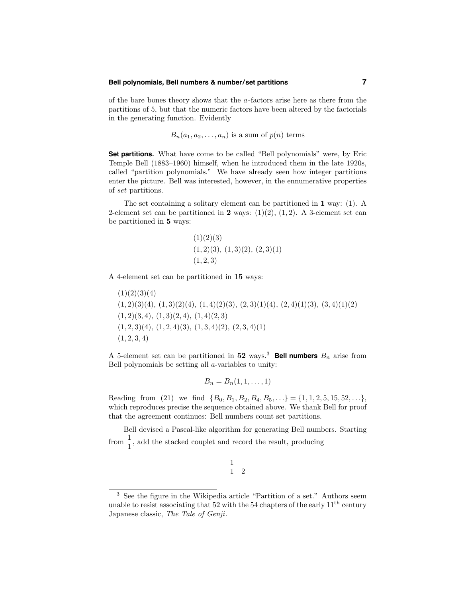#### **Bell polynomials, Bell numbers & number/set partitions 7**

of the bare bones theory shows that the  $a$ -factors arise here as there from the partitions of 5, but that the numeric factors have been altered by the factorials in the generating function. Evidently

$$
B_n(a_1, a_2, \ldots, a_n)
$$
 is a sum of  $p(n)$  terms

**Set partitions.** What have come to be called "Bell polynomials" were, by Eric Temple Bell (1883–1960) himself, when he introduced them in the late 1920s, called "partition polynomials." We have already seen how integer partitions enter the picture. Bell was interested, however, in the ennumerative properties of set partitions.

The set containing a solitary element can be partitioned in 1 way: (1). A 2-element set can be partitioned in 2 ways:  $(1)(2)$ ,  $(1, 2)$ . A 3-element set can be partitioned in 5 ways:

$$
(1)(2)(3) (1,2)(3), (1,3)(2), (2,3)(1) (1,2,3)
$$

A 4-element set can be partitioned in 15 ways:

 $(1)(2)(3)(4)$  $(1, 2)(3)(4)$ ,  $(1, 3)(2)(4)$ ,  $(1, 4)(2)(3)$ ,  $(2, 3)(1)(4)$ ,  $(2, 4)(1)(3)$ ,  $(3, 4)(1)(2)$  $(1, 2)(3, 4), (1, 3)(2, 4), (1, 4)(2, 3)$  $(1, 2, 3)(4), (1, 2, 4)(3), (1, 3, 4)(2), (2, 3, 4)(1)$  $(1, 2, 3, 4)$ 

A 5-element set can be partitioned in 52 ways.<sup>3</sup> Bell numbers  $B_n$  arise from Bell polynomials be setting all  $a$ -variables to unity:

$$
B_n=B_n(1,1,\ldots,1)
$$

Reading from (21) we find  $\{B_0, B_1, B_2, B_4, B_5, \ldots\} = \{1, 1, 2, 5, 15, 52, \ldots\}$ which reproduces precise the sequence obtained above. We thank Bell for proof that the agreement continues: Bell numbers count set partitions.

Bell devised a Pascal-like algorithm for generating Bell numbers. Starting from  $\frac{1}{1}$ , add the stacked couplet and record the result, producing

$$
\begin{array}{cc} 1 \\ 1 \end{array} \quad 2
$$

<sup>3</sup> See the figure in the Wikipedia article "Partition of a set." Authors seem unable to resist associating that 52 with the 54 chapters of the early  $11<sup>th</sup>$  century Japanese classic, The Tale of Genji.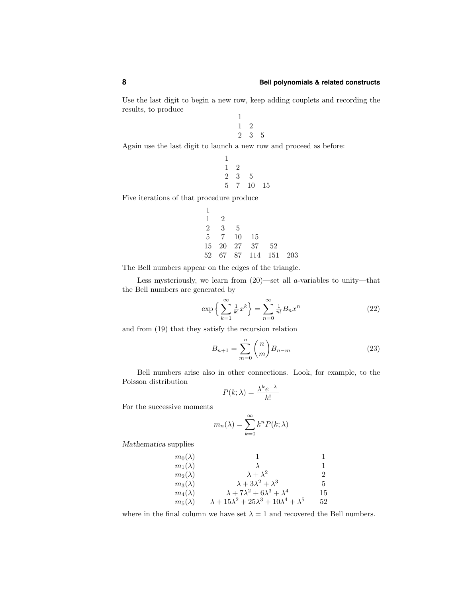Use the last digit to begin a new row, keep adding couplets and recording the results, to produce

> 1 1 2 2 3 5

Again use the last digit to launch a new row and proceed as before:

1

$$
\begin{array}{ccc}\n1 & 2 \\
2 & 3 & 5 \\
5 & 7 & 10 & 15\n\end{array}
$$

Five iterations of that procedure produce

$$
\begin{array}{cccc}\n1 & 2 \\
2 & 3 & 5 \\
5 & 7 & 10 & 15 \\
15 & 20 & 27 & 37 & 52 \\
52 & 67 & 87 & 114 & 151 & 203\n\end{array}
$$

The Bell numbers appear on the edges of the triangle.

Less mysteriously, we learn from  $(20)$ —set all *a*-variables to unity—that the Bell numbers are generated by

$$
\exp\left\{\sum_{k=1}^{\infty} \frac{1}{k!} x^k\right\} = \sum_{n=0}^{\infty} \frac{1}{n!} B_n x^n \tag{22}
$$

and from (19) that they satisfy the recursion relation

$$
B_{n+1} = \sum_{m=0}^{n} {n \choose m} B_{n-m}
$$
 (23)

Bell numbers arise also in other connections. Look, for example, to the Poisson distribution

$$
P(k; \lambda) = \frac{\lambda^k e^{-\lambda}}{k!}
$$

For the successive moments

$$
m_n(\lambda) = \sum_{k=0}^{\infty} k^n P(k; \lambda)
$$

Mathematica supplies

$$
m_0(\lambda) \qquad 1 \qquad 1
$$
  
\n
$$
m_1(\lambda) \qquad \lambda
$$
  
\n
$$
m_2(\lambda) \qquad \lambda + \lambda^2 \qquad 2
$$
  
\n
$$
m_3(\lambda) \qquad \lambda + 3\lambda^2 + \lambda^3 \qquad 5
$$
  
\n
$$
m_4(\lambda) \qquad \lambda + 7\lambda^2 + 6\lambda^3 + \lambda^4 \qquad 15
$$
  
\n
$$
m_5(\lambda) \qquad \lambda + 15\lambda^2 + 25\lambda^3 + 10\lambda^4 + \lambda^5 \qquad 52
$$

where in the final column we have set  $\lambda = 1$  and recovered the Bell numbers.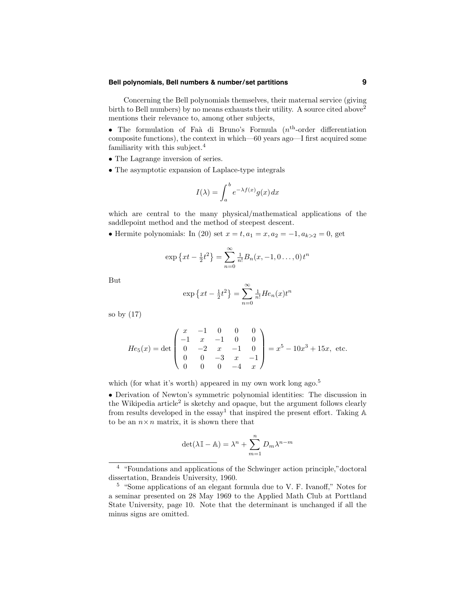# **Bell polynomials, Bell numbers & number/set partitions 9**

Concerning the Bell polynomials themselves, their maternal service (giving birth to Bell numbers) by no means exhausts their utility. A source cited above<sup>2</sup> mentions their relevance to, among other subjects,

• The formulation of Faa` di Bruno's Formula  $(n<sup>th</sup>-order)$  differentiation composite functions), the context in which—60 years ago—I first acquired some familiarity with this subject. $4$ 

- The Lagrange inversion of series.
- The asymptotic expansion of Laplace-type integrals

$$
I(\lambda) = \int_{a}^{b} e^{-\lambda f(x)} g(x) dx
$$

which are central to the many physical/mathematical applications of the saddlepoint method and the method of steepest descent.

• Hermite polynomials: In (20) set  $x = t, a_1 = x, a_2 = -1, a_{k>2} = 0$ , get

$$
\exp\left\{xt - \frac{1}{2}t^2\right\} = \sum_{n=0}^{\infty} \frac{1}{n!} B_n(x, -1, 0 \dots, 0) t^n
$$

But

$$
\exp\left\{xt - \frac{1}{2}t^2\right\} = \sum_{n=0}^{\infty} \frac{1}{n!} He_n(x)t^n
$$

so by (17)

$$
He_5(x) = \det \begin{pmatrix} x & -1 & 0 & 0 & 0 \\ -1 & x & -1 & 0 & 0 \\ 0 & -2 & x & -1 & 0 \\ 0 & 0 & -3 & x & -1 \\ 0 & 0 & 0 & -4 & x \end{pmatrix} = x^5 - 10x^3 + 15x, \text{ etc.}
$$

which (for what it's worth) appeared in my own work long ago.<sup>5</sup>

• Derivation of Newton's symmetric polynomial identities: The discussion in the Wikipedia article<sup>2</sup> is sketchy and opaque, but the argument follows clearly from results developed in the  $\text{essay}^1$  that inspired the present effort. Taking  $\mathbb A$ to be an  $n \times n$  matrix, it is shown there that

$$
\det(\lambda \mathbb{I} - \mathbb{A}) = \lambda^n + \sum_{m=1}^n D_m \lambda^{n-m}
$$

<sup>4</sup> "Foundations and applications of the Schwinger action principle,"doctoral dissertation, Brandeis University, 1960.

<sup>5</sup> "Some applications of an elegant formula due to V. F. Ivanoff," Notes for a seminar presented on 28 May 1969 to the Applied Math Club at Porttland State University, page 10. Note that the determinant is unchanged if all the minus signs are omitted.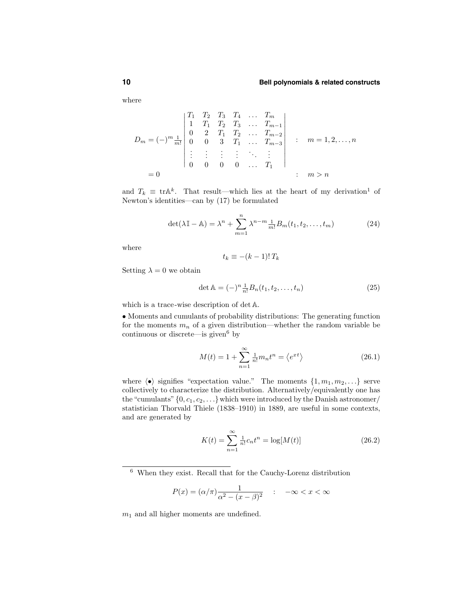where

$$
D_m = (-)^m \frac{1}{m!} \begin{vmatrix} T_1 & T_2 & T_3 & T_4 & \dots & T_m \\ 1 & T_1 & T_2 & T_3 & \dots & T_{m-1} \\ 0 & 2 & T_1 & T_2 & \dots & T_{m-2} \\ 0 & 0 & 3 & T_1 & \dots & T_{m-3} \\ \vdots & \vdots & \vdots & \vdots & \ddots & \vdots \\ 0 & 0 & 0 & 0 & \dots & T_1 \end{vmatrix} ; m = 1, 2, \dots, n
$$
  
= 0 ; m > n

and  $T_k \equiv \text{tr} \mathbb{A}^k$ . That result—which lies at the heart of my derivation<sup>1</sup> of Newton's identities—can by (17) be formulated

$$
\det(\lambda \mathbb{I} - \mathbb{A}) = \lambda^n + \sum_{m=1}^n \lambda^{n-m} \frac{1}{m!} B_m(t_1, t_2, \dots, t_m)
$$
 (24)

where

$$
t_k \equiv -(k-1)! \, T_k
$$

Setting  $\lambda = 0$  we obtain

$$
\det \mathbb{A} = (-)^n \frac{1}{n!} B_n(t_1, t_2, \dots, t_n)
$$
 (25)

which is a trace-wise description of det A.

• Moments and cumulants of probability distributions: The generating function for the moments  $m_n$  of a given distribution—whether the random variable be continuous or discrete—is given  $6$  by

$$
M(t) = 1 + \sum_{n=1}^{\infty} \frac{1}{n!} m_n t^n = \langle e^{xt} \rangle
$$
 (26.1)

where  $\langle \bullet \rangle$  signifies "expectation value." The moments  $\{1, m_1, m_2, \ldots\}$  serve collectively to characterize the distribution. Alternatively/equivalently one has the "cumulants"  $\{0, c_1, c_2, \ldots\}$  which were introduced by the Danish astronomer/ statistician Thorvald Thiele (1838–1910) in 1889, are useful in some contexts, and are generated by

$$
K(t) = \sum_{n=1}^{\infty} \frac{1}{n!} c_n t^n = \log[M(t)]
$$
 (26.2)

$$
P(x) = (\alpha/\pi) \frac{1}{\alpha^2 - (x - \beta)^2} \quad : \quad -\infty < x < \infty
$$

 $m_1$  and all higher moments are undefined.

<sup>6</sup> When they exist. Recall that for the Cauchy-Lorenz distribution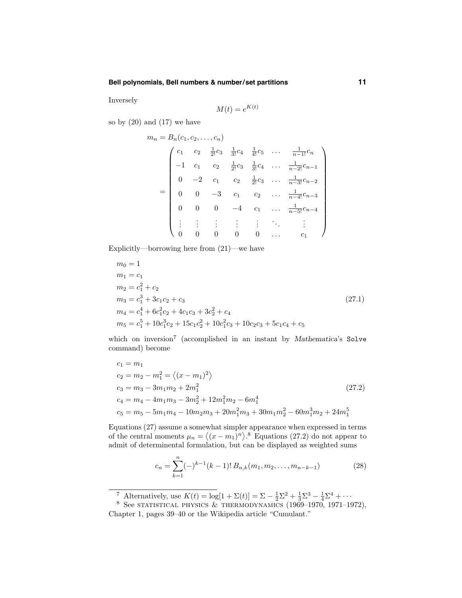# **Bell polynomials, Bell numbers & number/set partitions 11**

Inversely

$$
M(t) = e^{K(t)}
$$

so by  $(20)$  and  $(17)$  we have

$$
m_n = B_n(c_1, c_2, \dots, c_n)
$$
  
\n
$$
\begin{pmatrix}\nc_1 & c_2 & \frac{1}{2!}c_3 & \frac{1}{3!}c_4 & \frac{1}{4!}c_5 & \dots & \frac{1}{n-1!}c_n \\
-1 & c_1 & c_2 & \frac{1}{2!}c_3 & \frac{1}{3!}c_4 & \dots & \frac{1}{n-2!}c_{n-1} \\
0 & -2 & c_1 & c_2 & \frac{1}{2!}c_3 & \dots & \frac{1}{n-3!}c_{n-2} \\
0 & 0 & -3 & c_1 & c_2 & \dots & \frac{1}{n-4!}c_{n-3} \\
0 & 0 & 0 & -4 & c_1 & \dots & \frac{1}{n-5!}c_{n-4} \\
\vdots & \vdots & \vdots & \vdots & \vdots & \ddots & \vdots \\
0 & 0 & 0 & 0 & 0 & \dots & c_1\n\end{pmatrix}
$$

Explicitly—borrowing here from (21)—we have

$$
m_0 = 1
$$
  
\n
$$
m_1 = c_1
$$
  
\n
$$
m_2 = c_1^2 + c_2
$$
  
\n
$$
m_3 = c_1^3 + 3c_1c_2 + c_3
$$
  
\n
$$
m_4 = c_1^4 + 6c_1^2c_2 + 4c_1c_3 + 3c_2^2 + c_4
$$
  
\n
$$
m_5 = c_1^5 + 10c_1^3c_2 + 15c_1c_2^2 + 10c_1^2c_3 + 10c_2c_3 + 5c_1c_4 + c_5
$$
\n(27.1)

which on inversion<sup>7</sup> (accomplished in an instant by Mathematica's Solve command) become

$$
c_1 = m_1
$$
  
\n
$$
c_2 = m_2 - m_1^2 = \langle (x - m_1)^2 \rangle
$$
  
\n
$$
c_3 = m_3 - 3m_1m_2 + 2m_1^2
$$
  
\n
$$
c_4 = m_4 - 4m_1m_3 - 3m_2^2 + 12m_1^2m_2 - 6m_1^4
$$
  
\n
$$
c_5 = m_5 - 5m_1m_4 - 10m_2m_3 + 20m_1^2m_3 + 30m_1m_2^2 - 60m_1^3m_2 + 24m_1^5
$$
\n(27.2)

Equations (27) assume a somewhat simpler appearance when expressed in terms of the central moments  $\mu_n = \langle (x - m_1)^n \rangle$ .<sup>8</sup> Equations (27.2) do not appear to admit of determinental formulation, but can be displayed as weighted sums

$$
c_n = \sum_{k=1}^n (-)^{k-1} (k-1)! B_{n,k}(m_1, m_2, \dots, m_{n-k-1})
$$
 (28)

<sup>&</sup>lt;sup>7</sup> Alternatively, use  $K(t) = \log[1 + \Sigma(t)] = \Sigma - \frac{1}{2}\Sigma^2 + \frac{1}{3}\Sigma^3 - \frac{1}{4}\Sigma^4 + \cdots$ <br><sup>8</sup> See STATISTICAL PHYSICS & THERMODYNAMICS (1969–1970, 1971–1972), Chapter 1, pages 39–40 or the Wikipedia article "Cumulant."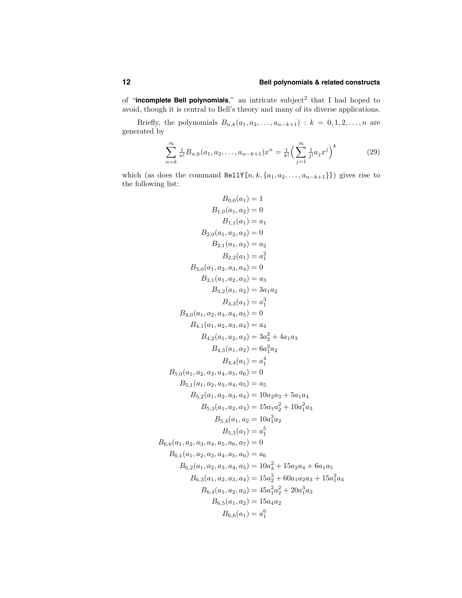of "**incomplete Bell polynomials**," an intricate subject<sup>2</sup> that I had hoped to avoid, though it is central to Bell's theory and many of its diverse applications.

Briefly, the polynomials  $B_{n,k}(a_1, a_2, \ldots, a_{n-k+1}) : k = 0, 1, 2, \ldots, n$  are generated by

$$
\sum_{n=k}^{\infty} \frac{1}{n!} B_{n,k}(a_1, a_2, \dots, a_{n-k+1}) x^n = \frac{1}{k!} \left( \sum_{j=1}^{\infty} \frac{1}{j!} a_j x^j \right)^k
$$
(29)

which (as does the command BellY[n, k,  $\{a_1, a_2, \ldots, a_{n-k+1}\}$ ]) gives rise to the following list:

$$
B_{0,0}(a_1) = 1
$$
  
\n
$$
B_{1,0}(a_1, a_2) = 0
$$
  
\n
$$
B_{1,1}(a_1) = a_1
$$
  
\n
$$
B_{2,0}(a_1, a_2, a_3) = 0
$$
  
\n
$$
B_{2,1}(a_1, a_2) = a_2
$$
  
\n
$$
B_{2,2}(a_1) = a_1^2
$$
  
\n
$$
B_{3,0}(a_1, a_2, a_3, a_4) = 0
$$
  
\n
$$
B_{3,1}(a_1, a_2, a_3) = a_3
$$
  
\n
$$
B_{3,2}(a_1, a_2) = 3a_1a_2
$$
  
\n
$$
B_{3,3}(a_1) = a_1^3
$$
  
\n
$$
B_{4,0}(a_1, a_2, a_3, a_4) = a_4
$$
  
\n
$$
B_{4,1}(a_1, a_2, a_3, a_4) = a_4
$$
  
\n
$$
B_{4,2}(a_1, a_2, a_3) = 3a_2^2 + 4a_1a_3
$$
  
\n
$$
B_{4,3}(a_1, a_2) = 6a_1^2a_2
$$
  
\n
$$
B_{4,4}(a_1) = a_1^4
$$
  
\n
$$
B_{5,0}(a_1, a_2, a_3, a_4, a_5) = 0
$$
  
\n
$$
B_{5,1}(a_1, a_2, a_3, a_4, a_5) = a_5
$$
  
\n
$$
B_{5,2}(a_1, a_2, a_3, a_4) = 10a_2a_3 + 5a_1a_4
$$
  
\n
$$
B_{5,3}(a_1, a_2, a_3) = 15a_1a_2^2 + 10a_1^2a_3
$$
  
\n
$$
B_{5,4}(a_1, a_2) = 10a_1^3a_2
$$
  
\n
$$
B_{6,0}(a_1, a_2, a_3, a_4, a_5, a_6) = a_6
$$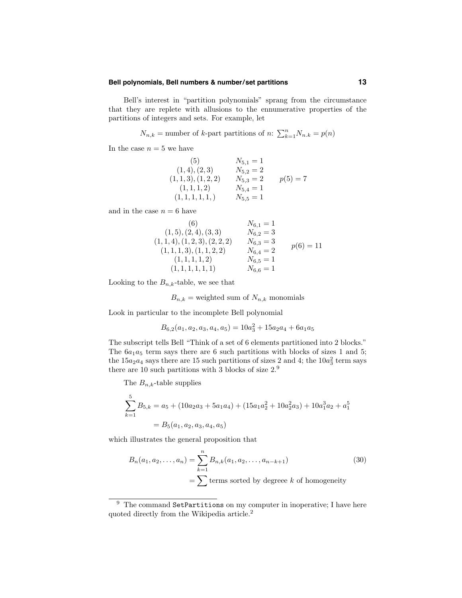#### **Bell polynomials, Bell numbers & number/set partitions 13**

Bell's interest in "partition polynomials" sprang from the circumstance that they are replete with allusions to the ennumerative properties of the partitions of integers and sets. For example, let

$$
N_{n,k}
$$
 = number of k-part partitions of n:  $\sum_{k=1}^{n} N_{n,k} = p(n)$ 

In the case  $n = 5$  we have

(5) 
$$
N_{5,1} = 1
$$
  
\n(1, 4), (2, 3)  $N_{5,2} = 2$   
\n(1, 1, 3), (1, 2, 2)  $N_{5,3} = 2$   $p(5) = 7$   
\n(1, 1, 1, 2)  $N_{5,4} = 1$   
\n(1, 1, 1, 1, 1, 1)  $N_{5,5} = 1$ 

and in the case  $n = 6$  have

(6) 
$$
N_{6,1} = 1
$$
  
\n(1, 5), (2, 4), (3, 3)  $N_{6,2} = 3$   
\n(1, 1, 4), (1, 2, 3), (2, 2, 2)  $N_{6,3} = 3$   
\n(1, 1, 1, 3), (1, 1, 2, 2)  $N_{6,4} = 2$   
\n(1, 1, 1, 1, 1, 2)  $N_{6,5} = 1$   
\n(1, 1, 1, 1, 1, 1)  
\n $N_{6,6} = 1$ 

Looking to the  $B_{n,k}$ -table, we see that

$$
B_{n,k}
$$
 = weighted sum of  $N_{n,k}$  monomials

Look in particular to the incomplete Bell polynomial

$$
B_{6,2}(a_1,a_2,a_3,a_4,a_5) = 10a_3^2 + 15a_2a_4 + 6a_1a_5
$$

The subscript tells Bell "Think of a set of 6 elements partitioned into 2 blocks." The  $6a_1a_5$  term says there are 6 such partitions with blocks of sizes 1 and 5; the  $15a_2a_4$  says there are 15 such partitions of sizes 2 and 4; the  $10a_3^2$  term says there are 10 such partitions with 3 blocks of size 2.<sup>9</sup>

The  $B_{n,k}$ -table supplies

$$
\sum_{k=1}^{5} B_{5,k} = a_5 + (10a_2a_3 + 5a_1a_4) + (15a_1a_2^2 + 10a_2^2a_3) + 10a_1^3a_2 + a_1^5
$$
  
=  $B_5(a_1, a_2, a_3, a_4, a_5)$ 

which illustrates the general proposition that

$$
B_n(a_1, a_2, \dots, a_n) = \sum_{k=1}^n B_{n,k}(a_1, a_2, \dots, a_{n-k+1})
$$
\n
$$
= \sum \text{terms sorted by degree } k \text{ of homogeneity}
$$
\n(30)

 $9$  The command SetPartitions on my computer in inoperative; I have here quoted directly from the Wikipedia article.<sup>2</sup>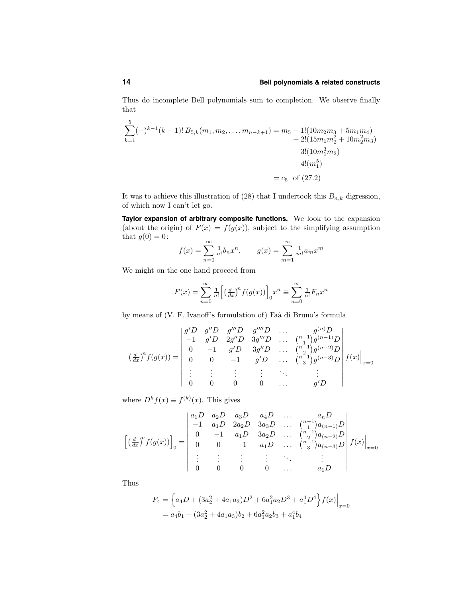Thus do incomplete Bell polynomials sum to completion. We observe finally that

$$
\sum_{k=1}^{5}(-)^{k-1}(k-1)!\,B_{5,k}(m_1,m_2,\ldots,m_{n-k+1}) = m_5 - 1!(10m_2m_3 + 5m_1m_4) + 2!(15m_1m_2^2 + 10m_2^2m_3) - 3!(10m_1^3m_2) + 4!(m_1^5) = c_5 \text{ of } (27.2)
$$

It was to achieve this illustration of (28) that I undertook this  $B_{n,k}$  digression, of which now I can't let go.

**Taylor expansion of arbitrary composite functions.** We look to the expansion (about the origin) of  $F(x) = f(g(x))$ , subject to the simplifying assumption that  $g(0) = 0$ :

$$
f(x) = \sum_{n=0}^{\infty} \frac{1}{n!} b_n x^n
$$
,  $g(x) = \sum_{m=1}^{\infty} \frac{1}{m!} a_m x^m$ 

We might on the one hand proceed from

$$
F(x) = \sum_{n=0}^{\infty} \frac{1}{n!} \left[ \left( \frac{d}{dx} \right)^n f(g(x)) \right]_0 x^n \equiv \sum_{n=0}^{\infty} \frac{1}{n!} F_n x^n
$$

by means of (V. F. Ivanoff's formulation of) Faà di Bruno's formula

$$
\left(\frac{d}{dx}\right)^n f(g(x)) = \begin{vmatrix} g'D & g''D & g'''D & \dots & g^{(n)}D \\ -1 & g'D & 2g''D & 3g'''D & \dots & \binom{n-1}{2}g^{(n-1)}D \\ 0 & -1 & g'D & 3g''D & \dots & \binom{n-1}{2}g^{(n-2)}D \\ 0 & 0 & -1 & g'D & \dots & \binom{n-1}{3}g^{(n-3)}D \\ \vdots & \vdots & \vdots & \vdots & \ddots & \vdots \\ 0 & 0 & 0 & 0 & \dots & g'D \end{vmatrix} f(x) \Big|_{x=0}
$$

where  $D^k f(x) \equiv f^{(k)}(x)$ . This gives

$$
\left[\left(\frac{d}{dx}\right)^{n} f(g(x))\right]_{0} = \begin{vmatrix} a_{1}D & a_{2}D & a_{3}D & a_{4}D & \dots & a_{n}D \\ -1 & a_{1}D & 2a_{2}D & 3a_{3}D & \dots & {n-1 \choose 2}a_{(n-1)}D \\ 0 & -1 & a_{1}D & 3a_{2}D & \dots & {n-1 \choose 2}a_{(n-2)}D \\ 0 & 0 & -1 & a_{1}D & \dots & {n-1 \choose 3}a_{(n-3)}D \\ \vdots & \vdots & \vdots & \vdots & \ddots & \vdots \\ 0 & 0 & 0 & 0 & \dots & a_{1}D \end{vmatrix} f(x)\Big|_{x=0}
$$

Thus

$$
F_4 = \left\{ a_4D + (3a_2^2 + 4a_1a_3)D^2 + 6a_1^2a_2D^3 + a_1^4D^4 \right\} f(x) \Big|_{x=0}
$$
  
=  $a_4b_1 + (3a_2^2 + 4a_1a_3)b_2 + 6a_1^2a_2b_3 + a_1^4b_4$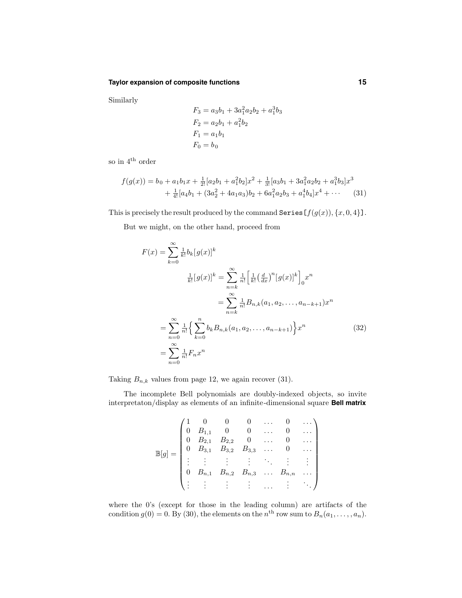#### **Taylor expansion of composite functions 15**

Similarly

$$
F_3 = a_3b_1 + 3a_1^2a_2b_2 + a_1^3b_3
$$
  
\n
$$
F_2 = a_2b_1 + a_1^2b_2
$$
  
\n
$$
F_1 = a_1b_1
$$
  
\n
$$
F_0 = b_0
$$

so in  $4^{\text{th}}$  order

$$
f(g(x)) = b_0 + a_1b_1x + \frac{1}{2!}[a_2b_1 + a_1^2b_2]x^2 + \frac{1}{3!}[a_3b_1 + 3a_1^2a_2b_2 + a_1^3b_3]x^3
$$
  
+ 
$$
\frac{1}{4!}[a_4b_1 + (3a_2^2 + 4a_1a_3)b_2 + 6a_1^2a_2b_3 + a_1^4b_4]x^4 + \cdots
$$
 (31)

This is precisely the result produced by the command Series  $[f(g(x)), \{x, 0, 4\}]$ .

But we might, on the other hand, proceed from

$$
F(x) = \sum_{k=0}^{\infty} \frac{1}{k!} b_k [g(x)]^k
$$
  
\n
$$
\frac{1}{k!} [g(x)]^k = \sum_{n=k}^{\infty} \frac{1}{n!} \left[ \frac{1}{k!} (\frac{d}{dx})^n [g(x)]^k \right]_0 x^n
$$
  
\n
$$
= \sum_{n=0}^{\infty} \frac{1}{n!} B_{n,k}(a_1, a_2, \dots, a_{n-k+1}) x^n
$$
  
\n
$$
= \sum_{n=0}^{\infty} \frac{1}{n!} \left\{ \sum_{k=0}^n b_k B_{n,k}(a_1, a_2, \dots, a_{n-k+1}) \right\} x^n
$$
  
\n
$$
= \sum_{n=0}^{\infty} \frac{1}{n!} F_n x^n
$$
\n(32)

Taking  $B_{n,k}$  values from page 12, we again recover (31).

The incomplete Bell polynomials are doubly-indexed objects, so invite interpretaton/display as elements of an infinite-dimensional square **Bell matrix**

|  |                                                                                                                                                                                                                                                |                               |          | 0         |              |
|--|------------------------------------------------------------------------------------------------------------------------------------------------------------------------------------------------------------------------------------------------|-------------------------------|----------|-----------|--------------|
|  | $\left( \begin{array}{ccccccccc} & & & & & & 0 & & \dots \\ 0 & B_{1,1} & 0 & 0 & & \dots \\ 0 & B_{2,1} & B_{2,2} & 0 & & \dots \\ & & B_{3,1} & B_{3,2} & B_{3,3} & \dots & \dots \\ & & & & \vdots & \vdots & & \vdots \end{array} \right)$ |                               |          |           | $\sim$ $\pm$ |
|  |                                                                                                                                                                                                                                                | $B_{n,1}$ $B_{n,2}$ $B_{n,3}$ | $\cdots$ | $B_{n,n}$ |              |
|  |                                                                                                                                                                                                                                                |                               |          |           |              |

where the 0's (except for those in the leading column) are artifacts of the condition  $g(0) = 0$ . By (30), the elements on the  $n<sup>th</sup>$  row sum to  $B_n(a_1, \ldots, a_n)$ .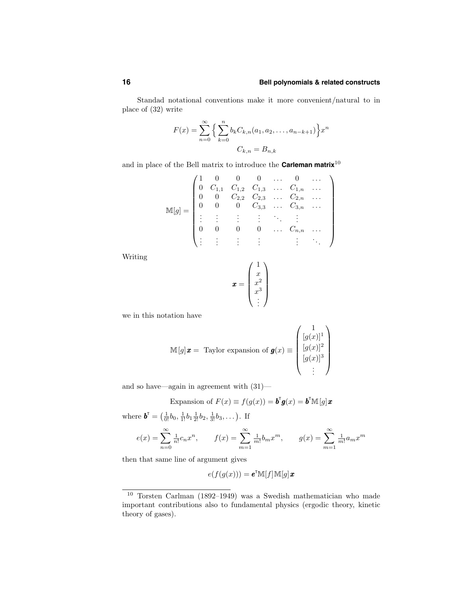Standad notational conventions make it more convenient/natural to in place of (32) write

$$
F(x) = \sum_{n=0}^{\infty} \left\{ \sum_{k=0}^{n} b_k C_{k,n}(a_1, a_2, \dots, a_{n-k+1}) \right\} x^n
$$

$$
C_{k,n} = B_{n,k}
$$

and in place of the Bell matrix to introduce the **Carleman matrix**<sup>10</sup>

$$
\mathbb{M}[g] = \begin{pmatrix}\n1 & 0 & 0 & 0 & \dots & 0 & \dots \\
0 & C_{1,1} & C_{1,2} & C_{1,3} & \dots & C_{1,n} & \dots \\
0 & 0 & C_{2,2} & C_{2,3} & \dots & C_{2,n} & \dots \\
0 & 0 & 0 & C_{3,3} & \dots & C_{3,n} & \dots \\
\vdots & \vdots & \vdots & \vdots & \ddots & \vdots & \vdots \\
0 & 0 & 0 & 0 & \dots & C_{n,n} & \dots \\
\vdots & \vdots & \vdots & \vdots & \vdots & \ddots\n\end{pmatrix}
$$

Writing

$$
\boldsymbol{x} = \begin{pmatrix} 1 \\ x \\ x^2 \\ x^3 \\ \vdots \end{pmatrix}
$$

we in this notation have

$$
\mathbb{M}[g] \mathbf{x} = \text{Taylor expansion of } \mathbf{g}(x) \equiv \begin{pmatrix} 1 \\ [g(x)]^1 \\ [g(x)]^2 \\ [g(x)]^3 \\ \vdots \end{pmatrix}
$$

and so have—again in agreement with (31)—

Expansion of 
$$
F(x) \equiv f(g(x)) = \mathbf{b}^{\mathsf{T}} \mathbf{g}(x) = \mathbf{b}^{\mathsf{T}} \mathbb{M}[g] \mathbf{x}
$$

where  $\boldsymbol{b}^{\text{T}} = (\frac{1}{0!}b_0, \frac{1}{1!}b_1, \frac{1}{2!}b_2, \frac{1}{3!}b_3, \dots)$ . If

$$
e(x) = \sum_{n=0}^{\infty} \frac{1}{n!} c_n x^n, \qquad f(x) = \sum_{m=1}^{\infty} \frac{1}{m!} b_m x^m, \qquad g(x) = \sum_{m=1}^{\infty} \frac{1}{m!} a_m x^m
$$

then that same line of argument gives

$$
e(f(g(x))) = \mathbf{e}^{\scriptscriptstyle{\mathsf{T}}}\mathbb{M}[f]\mathbb{M}[g]\mathbf{x}
$$

<sup>10</sup> Torsten Carlman (1892–1949) was a Swedish mathematician who made important contributions also to fundamental physics (ergodic theory, kinetic theory of gases).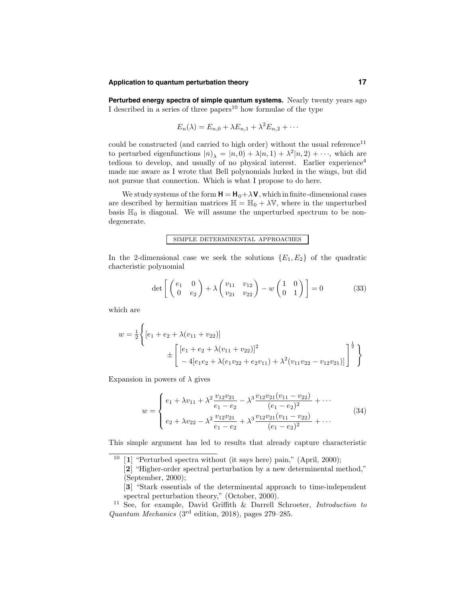#### **Application to quantum perturbation theory 17**

**Perturbed energy spectra of simple quantum systems.** Nearly twenty years ago I described in a series of three papers<sup>10</sup> how formulae of the type

$$
E_n(\lambda) = E_{n,0} + \lambda E_{n,1} + \lambda^2 E_{n,2} + \cdots
$$

could be constructed (and carried to high order) without the usual reference<sup>11</sup> to perturbed eigenfunctions  $|n\rangle = |n,0\rangle + \lambda |n,1\rangle + \lambda^2 |n,2\rangle + \cdots$ , which are tedious to develop, and usually of no physical interest. Earlier experience<sup>4</sup> made me aware as I wrote that Bell polynomials lurked in the wings, but did not pursue that connection. Which is what I propose to do here.

We study systems of the form  $H = H_0 + \lambda V$ , which in finite-dimensional cases are described by hermitian matrices  $\mathbb{H} = \mathbb{H}_0 + \lambda \mathbb{V}$ , where in the unperturbed basis  $\mathbb{H}_0$  is diagonal. We will assume the unperturbed spectrum to be nondegenerate.

#### simple determinental approaches

In the 2-dimensional case we seek the solutions  ${E_1, E_2}$  of the quadratic chacteristic polynomial

$$
\det\left[\begin{pmatrix} e_1 & 0\\ 0 & e_2 \end{pmatrix} + \lambda \begin{pmatrix} v_{11} & v_{12} \\ v_{21} & v_{22} \end{pmatrix} - w \begin{pmatrix} 1 & 0\\ 0 & 1 \end{pmatrix} \right] = 0 \tag{33}
$$

which are

$$
w = \frac{1}{2} \left\{ \left[ e_1 + e_2 + \lambda (v_{11} + v_{22}) \right] + \left[ \left[ e_1 + e_2 + \lambda (v_{11} + v_{22}) \right]^2 \right] + 4 \left[ e_1 e_2 + \lambda (e_1 v_{22} + e_2 v_{11}) + \lambda^2 (v_{11} v_{22} - v_{12} v_{21}) \right] \right\}^{\frac{1}{2}}
$$

Expansion in powers of  $\lambda$  gives

$$
w = \begin{cases} e_1 + \lambda v_{11} + \lambda^2 \frac{v_{12}v_{21}}{e_1 - e_2} - \lambda^3 \frac{v_{12}v_{21}(v_{11} - v_{22})}{(e_1 - e_2)^2} + \cdots \\ e_2 + \lambda v_{22} - \lambda^2 \frac{v_{12}v_{21}}{e_1 - e_2} + \lambda^3 \frac{v_{12}v_{21}(v_{11} - v_{22})}{(e_1 - e_2)^2} + \cdots \end{cases}
$$
(34)

This simple argument has led to results that already capture characteristic

<sup>&</sup>lt;sup>10</sup> [1] "Perturbed spectra without (it says here) pain," (April, 2000);

<sup>[</sup>2] "Higher-order spectral perturbation by a new determinental method," (September, 2000);

<sup>[</sup>3] "Stark essentials of the determinental approach to time-independent spectral perturbation theory," (October, 2000).

<sup>11</sup> See, for example, David Griffith & Darrell Schroeter, Introduction to Quantum Mechanics (3rd edition, 2018), pages 279–285.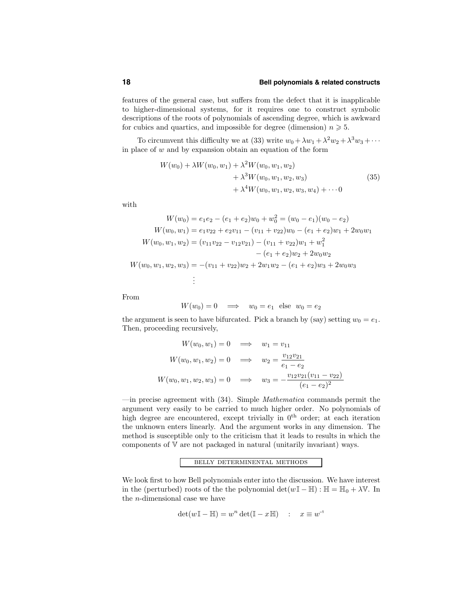features of the general case, but suffers from the defect that it is inapplicable to higher-dimensional systems, for it requires one to construct symbolic descriptions of the roots of polynomials of ascending degree, which is awkward for cubics and quartics, and impossible for degree (dimension)  $n \geq 5$ .

To circumvent this difficulty we at (33) write  $w_0 + \lambda w_1 + \lambda^2 w_2 + \lambda^3 w_3 + \cdots$ in place of  $w$  and by expansion obtain an equation of the form

$$
W(w_0) + \lambda W(w_0, w_1) + \lambda^2 W(w_0, w_1, w_2)
$$
  
+  $\lambda^3 W(w_0, w_1, w_2, w_3)$   
+  $\lambda^4 W(w_0, w_1, w_2, w_3, w_4) + \cdots 0$  (35)

with

$$
W(w_0) = e_1e_2 - (e_1 + e_2)w_0 + w_0^2 = (w_0 - e_1)(w_0 - e_2)
$$
  
\n
$$
W(w_0, w_1) = e_1v_{22} + e_2v_{11} - (v_{11} + v_{22})w_0 - (e_1 + e_2)w_1 + 2w_0w_1
$$
  
\n
$$
W(w_0, w_1, w_2) = (v_{11}v_{22} - v_{12}v_{21}) - (v_{11} + v_{22})w_1 + w_1^2
$$
  
\n
$$
- (e_1 + e_2)w_2 + 2w_0w_2
$$
  
\n
$$
W(w_0, w_1, w_2, w_3) = -(v_{11} + v_{22})w_2 + 2w_1w_2 - (e_1 + e_2)w_3 + 2w_0w_3
$$
  
\n
$$
\vdots
$$

From

$$
W(w_0) = 0 \quad \Longrightarrow \quad w_0 = e_1 \text{ else } w_0 = e_2
$$

the argument is seen to have bifurcated. Pick a branch by (say) setting  $w_0 = e_1$ . Then, proceeding recursively,

$$
W(w_0, w_1) = 0 \implies w_1 = v_{11}
$$
  

$$
W(w_0, w_1, w_2) = 0 \implies w_2 = \frac{v_{12}v_{21}}{e_1 - e_2}
$$
  

$$
W(w_0, w_1, w_2, w_3) = 0 \implies w_3 = -\frac{v_{12}v_{21}(v_{11} - v_{22})}{(e_1 - e_2)^2}
$$

—in precise agreement with  $(34)$ . Simple *Mathematica* commands permit the argument very easily to be carried to much higher order. No polynomials of high degree are encountered, except trivially in  $0<sup>th</sup>$  order; at each iteration the unknown enters linearly. And the argument works in any dimension. The method is susceptible only to the criticism that it leads to results in which the components of V are not packaged in natural (unitarily invariant) ways.

### belly determinental methods

We look first to how Bell polynomials enter into the discussion. We have interest in the (perturbed) roots of the the polynomial  $\det(w\mathbb{I} - \mathbb{H}) : \mathbb{H} = \mathbb{H}_0 + \lambda \mathbb{V}$ . In the n-dimensional case we have

$$
\det(w\mathbb{I} - \mathbb{H}) = w^n \det(\mathbb{I} - x\mathbb{H}) \quad : \quad x \equiv w^{-1}
$$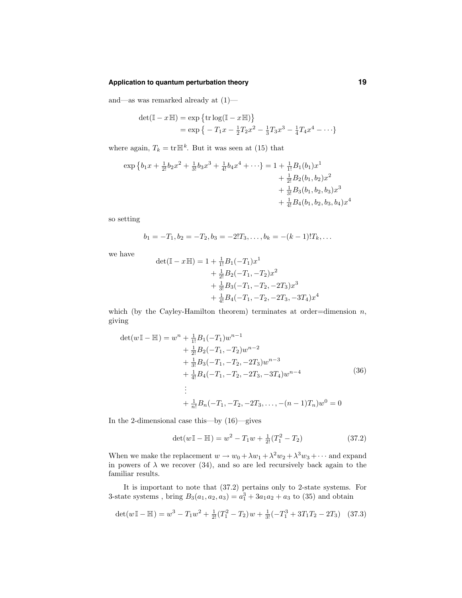# **Application to quantum perturbation theory 19**

and—as was remarked already at  $(1)$ —

$$
det(\mathbb{I} - x \mathbb{H}) = exp \{ tr \log(\mathbb{I} - x \mathbb{H}) \}
$$
  
= exp \{ -T<sub>1</sub>x -  $\frac{1}{2}$ T<sub>2</sub>x<sup>2</sup> -  $\frac{1}{3}$ T<sub>3</sub>x<sup>3</sup> -  $\frac{1}{4}$ T<sub>4</sub>x<sup>4</sup> - ...}

where again,  $T_k = \text{tr} \mathbb{H}^k$ . But it was seen at (15) that

$$
\exp \left\{ b_1 x + \frac{1}{2!} b_2 x^2 + \frac{1}{3!} b_3 x^3 + \frac{1}{4!} b_4 x^4 + \cdots \right\} = 1 + \frac{1}{1!} B_1(b_1) x^1
$$
  
+  $\frac{1}{2!} B_2(b_1, b_2) x^2$   
+  $\frac{1}{3!} B_3(b_1, b_2, b_3) x^3$   
+  $\frac{1}{4!} B_4(b_1, b_2, b_3, b_4) x^4$ 

so setting

$$
b_1 = -T_1, b_2 = -T_2, b_3 = -2!T_3, \dots, b_k = -(k-1)!T_k, \dots
$$

we have

$$
det(\mathbb{I} - x\mathbb{H}) = 1 + \frac{1}{1!}B_1(-T_1)x^1
$$
  
+  $\frac{1}{2!}B_2(-T_1, -T_2)x^2$   
+  $\frac{1}{3!}B_3(-T_1, -T_2, -2T_3)x^3$   
+  $\frac{1}{4!}B_4(-T_1, -T_2, -2T_3, -3T_4)x^4$ 

which (by the Cayley-Hamilton theorem) terminates at order=dimension  $n$ , giving

$$
\det(w\mathbb{I} - \mathbb{H}) = w^n + \frac{1}{1!}B_1(-T_1)w^{n-1} + \frac{1}{2!}B_2(-T_1, -T_2)w^{n-2} + \frac{1}{3!}B_3(-T_1, -T_2, -2T_3)w^{n-3} + \frac{1}{4!}B_4(-T_1, -T_2, -2T_3, -3T_4)w^{n-4} \vdots + \frac{1}{n!}B_n(-T_1, -T_2, -2T_3, \dots, -(n-1)T_n)w^0 = 0
$$
\n(36)

In the 2-dimensional case this—by (16)—gives

$$
\det(w \mathbb{I} - \mathbb{H}) = w^2 - T_1 w + \frac{1}{2!} (T_1^2 - T_2)
$$
\n(37.2)

When we make the replacement  $w \to w_0 + \lambda w_1 + \lambda^2 w_2 + \lambda^3 w_3 + \cdots$  and expand in powers of  $\lambda$  we recover (34), and so are led recursively back again to the familiar results.

It is important to note that (37.2) pertains only to 2-state systems. For 3-state systems, bring  $B_3(a_1, a_2, a_3) = a_1^3 + 3a_1a_2 + a_3$  to (35) and obtain

$$
\det(w \mathbb{I} - \mathbb{H}) = w^3 - T_1 w^2 + \frac{1}{2!} (T_1^2 - T_2) w + \frac{1}{3!} (-T_1^3 + 3T_1 T_2 - 2T_3) \tag{37.3}
$$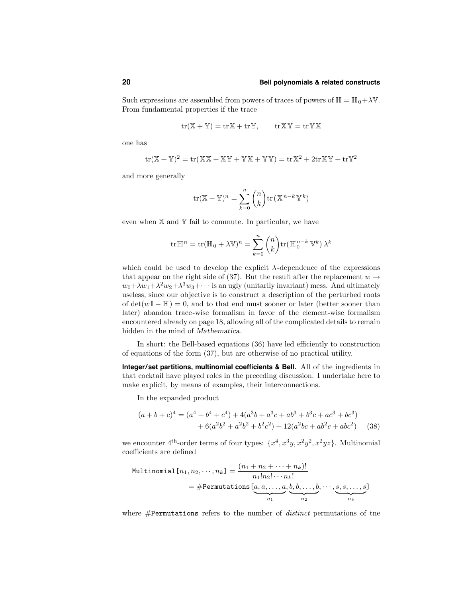Such expressions are assembled from powers of traces of powers of  $\mathbb{H} = \mathbb{H}_0 + \lambda \mathbb{V}$ . From fundamental properties if the trace

$$
tr(\mathbb{X} + \mathbb{Y}) = tr\mathbb{X} + tr\mathbb{Y}, \qquad tr\mathbb{X}\mathbb{Y} = tr\mathbb{Y}\mathbb{X}
$$

one has

$$
tr(\mathbb{X} + \mathbb{Y})^2 = tr(\mathbb{X}\mathbb{X} + \mathbb{X}\mathbb{Y} + \mathbb{Y}\mathbb{X} + \mathbb{Y}\mathbb{Y}) = tr\mathbb{X}^2 + 2tr\mathbb{X}\mathbb{Y} + tr\mathbb{Y}^2
$$

and more generally

$$
\operatorname{tr}(\mathbb{X} + \mathbb{Y})^n = \sum_{k=0}^n \binom{n}{k} \operatorname{tr}(\mathbb{X}^{n-k} \mathbb{Y}^k)
$$

even when  $X$  and  $Y$  fail to commute. In particular, we have

$$
\operatorname{tr} \mathbb{H}^n = \operatorname{tr} (\mathbb{H}_0 + \lambda \mathbb{V})^n = \sum_{k=0}^n \binom{n}{k} \operatorname{tr} (\mathbb{H}_0^{n-k} \mathbb{V}^k) \lambda^k
$$

which could be used to develop the explicit  $\lambda$ -dependence of the expressions that appear on the right side of (37). But the result after the replacement  $w \rightarrow$  $w_0 + \lambda w_1 + \lambda^2 w_2 + \lambda^3 w_3 + \cdots$  is an ugly (unitarily invariant) mess. And ultimately useless, since our objective is to construct a description of the perturbed roots of  $\det(w\mathbb{I} - \mathbb{H}) = 0$ , and to that end must sooner or later (better sooner than later) abandon trace-wise formalism in favor of the element-wise formalism encountered already on page 18, allowing all of the complicated details to remain hidden in the mind of Mathematica.

In short: the Bell-based equations (36) have led efficiently to construction of equations of the form (37), but are otherwise of no practical utility.

**Integer/set partitions, multinomial coefficients & Bell.** All of the ingredients in that cocktail have played roles in the preceding discussion. I undertake here to make explicit, by means of examples, their interconnections.

In the expanded product

$$
(a+b+c)^4 = (a^4+b^4+c^4) + 4(a^3b+a^3c+ab^3+b^3c+ac^3+bc^3) + 6(a^2b^2+a^2b^2+b^2c^2) + 12(a^2bc+ab^2c+abc^2)
$$
 (38)

we encounter  $4^{th}$ -order terms of four types:  $\{x^4, x^3y, x^2y^2, x^2yz\}$ . Multinomial coefficients are defined

$$
\text{Multinomial } [n_1, n_2, \cdots, n_k] = \frac{(n_1 + n_2 + \cdots + n_k)!}{n_1! n_2! \cdots n_k!}
$$
\n
$$
= \# \text{Permutations } [a, a, \ldots, a, \underbrace{b, b, \ldots, b}_{n_2}, \cdots, \underbrace{s, s, \ldots, s}_{n_k}]
$$

where #Permutations refers to the number of *distinct* permutations of tne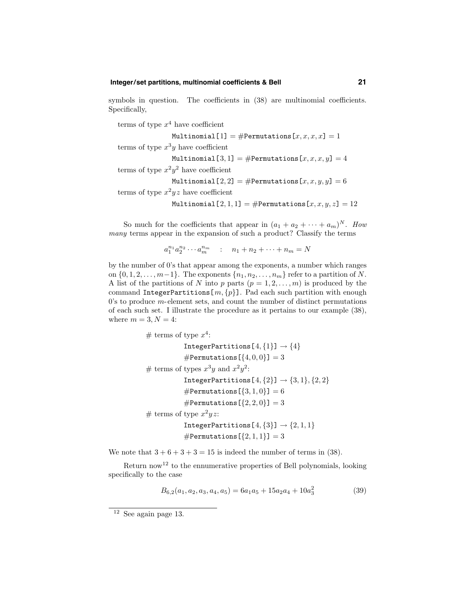### **Integer/set partitions, multinomial coefficients & Bell 21**

symbols in question. The coefficients in  $(38)$  are multinomial coefficients. Specifically,

```
terms of type x^4 have coefficient
                 Multinomial [1] = \text{\#Permutations}[x, x, x, x] = 1terms of type x^3y have coefficient
                 Multinomial[3, 1] = \text{\#Permutations}[x, x, x, y] = 4terms of type x^2y^2 have coefficient
                 Multinomial[2, 2] = \text{\#Permutations}[x, x, y, y] = 6terms of type x^2yz have coefficient
                 Multinomial[2, 1, 1] = \text{\#Permutations}[x, x, y, z] = 12
```
So much for the coefficients that appear in  $(a_1 + a_2 + \cdots + a_m)^N$ . How many terms appear in the expansion of such a product? Classify the terms

 $a_1^{n_1} a_2^{n_2} \cdots a_m^{n_m}$  :  $n_1 + n_2 + \cdots + n_m = N$ 

by the number of 0's that appear among the exponents, a number which ranges on  $\{0, 1, 2, \ldots, m-1\}$ . The exponents  $\{n_1, n_2, \ldots, n_m\}$  refer to a partition of N. A list of the partitions of N into p parts  $(p = 1, 2, \ldots, m)$  is produced by the command IntegerPartitions $[m, \{p\}]$ . Pad each such partition with enough  $0$ 's to produce  $m$ -element sets, and count the number of distinct permutations of each such set. I illustrate the procedure as it pertains to our example (38), where  $m = 3, N = 4$ :

```
# terms of type x^4:
            IntegerPartitions[4, \{1\}] \rightarrow \{4\}#Permutations[\{4, 0, 0\}] = 3# terms of types x^3y and x^2y^2:
            IntegerPartitions[4, {2}] \rightarrow {3, 1}, {2, 2}#Permutations[\{3, 1, 0\}] = 6#Permutations[\{2, 2, 0\}] = 3# terms of type x^2yz:
            IntegerPartitions[4, {3}] \rightarrow {2, 1, 1}#Permutations[\{2, 1, 1\}] = 3
```
We note that  $3 + 6 + 3 + 3 = 15$  is indeed the number of terms in (38).

Return now<sup>12</sup> to the ennumerative properties of Bell polynomials, looking specifically to the case

$$
B_{6,2}(a_1, a_2, a_3, a_4, a_5) = 6a_1a_5 + 15a_2a_4 + 10a_3^2 \tag{39}
$$

<sup>12</sup> See again page 13.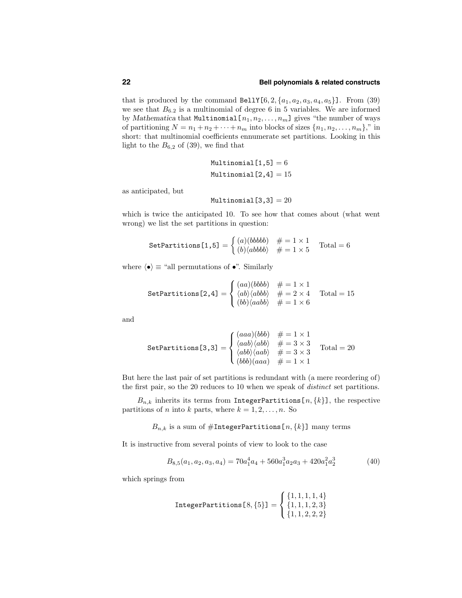that is produced by the command BellY $[6, 2, \{a_1, a_2, a_3, a_4, a_5\}]$ . From (39) we see that  $B_{6.2}$  is a multinomial of degree 6 in 5 variables. We are informed by Mathematica that Multinomial  $[n_1, n_2, \ldots, n_m]$  gives "the number of ways of partitioning  $N = n_1 + n_2 + \cdots + n_m$  into blocks of sizes  $\{n_1, n_2, \ldots, n_m\}$ ," in short: that multinomial coefficients ennumerate set partitions. Looking in this light to the  $B_{6,2}$  of (39), we find that

$$
\texttt{Multinomial}[1,5] = 6
$$
\n
$$
\texttt{Multinomial}[2,4] = 15
$$

as anticipated, but

$$
\mathtt{Multinomial}\left[3,3\right]=20
$$

which is twice the anticipated 10. To see how that comes about (what went wrong) we list the set partitions in question:

SetPartitions [1,5] = 
$$
\begin{cases} (a)(bbbb) & \# = 1 \times 1 \\ (b)(abbbb) & \# = 1 \times 5 \end{cases}
$$
Total = 6

where  $\langle \bullet \rangle \equiv$  "all permutations of  $\bullet$ ". Similarly

SetPartitions [2,4] = 
$$
\begin{cases} (aa)(bbbb) & # = 1 \times 1 \\ \langle ab \rangle \langle abbb \rangle & # = 2 \times 4 \\ (bb) \langle aabb \rangle & # = 1 \times 6 \end{cases}
$$
Total = 15

and

SetPartitions [3,3] =   
\n
$$
\begin{cases}\n(aaa)(bbb) & # = 1 \times 1 \\
\langle aab \rangle \langle abb \rangle & # = 3 \times 3 \\
\langle abb \rangle \langle aab \rangle & # = 3 \times 3 \\
(bbb)(aaa) & # = 1 \times 1\n\end{cases}
$$
\nTotal = 20

But here the last pair of set partitions is redundant with (a mere reordering of) the first pair, so the 20 reduces to 10 when we speak of distinct set partitions.

 $B_{n,k}$  inherits its terms from IntegerPartitions[n, {k}], the respective partitions of *n* into *k* parts, where  $k = 1, 2, ..., n$ . So

 $B_{n,k}$  is a sum of #IntegerPartitions[ $n, \{k\}$ ] many terms

It is instructive from several points of view to look to the case

$$
B_{8,5}(a_1, a_2, a_3, a_4) = 70a_1^4a_4 + 560a_1^3a_2a_3 + 420a_1^2a_2^3 \tag{40}
$$

which springs from

$$
\text{IntegerPartitions} \left[8, \{5\}\right] = \left\{\begin{aligned} \{1,1,1,1,4\} \\ \{1,1,1,2,3\} \\ \{1,1,2,2,2\} \end{aligned}\right.
$$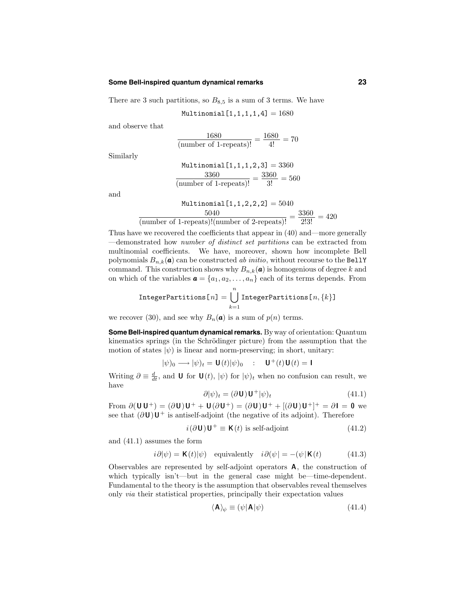#### **Some Bell-inspired quantum dynamical remarks 23**

There are 3 such partitions, so  $B_{8,5}$  is a sum of 3 terms. We have

Multinomial $[1,1,1,1,4] = 1680$ 

and observe that

$$
\frac{1680}{(\text{number of 1-repeats})!} = \frac{1680}{4!} = 70
$$

Similarly

Multiplying 
$$
1, 1, 1, 2, 3
$$
 = 3360  
\n
$$
\frac{3360}{(\text{number of 1-repeats})!} = \frac{3360}{3!} = 560
$$

and

Multinomial[1, 1, 2, 2, 2] = 5040

\n(number of 1-repeats)!(number of 2-repeats)!

\n
$$
= \frac{3360}{2!3!} = 420
$$

Thus have we recovered the coefficients that appear in (40) and—more generally —demonstrated how number of distinct set partitions can be extracted from multinomial coefficients. We have, moreover, shown how incomplete Bell polynomials  $B_{n,k}(\boldsymbol{a})$  can be constructed ab initio, without recourse to the BellY command. This construction shows why  $B_{n,k}(\mathbf{a})$  is homogenious of degree k and on which of the variables  $\mathbf{a} = \{a_1, a_2, \ldots, a_n\}$  each of its terms depends. From

$$
\text{IntegerPartitions} \texttt{[}n \texttt{]} = \bigcup_{k=1}^{n} \texttt{IntegerPartitions} \texttt{[}n,\{k\} \texttt{]}
$$

we recover (30), and see why  $B_n(\mathbf{a})$  is a sum of  $p(n)$  terms.

**Some Bell-inspired quantum dynamicalremarks.** Byway of orientation: Quantum kinematics springs (in the Schrödinger picture) from the assumption that the motion of states  $|\psi\rangle$  is linear and norm-preserving; in short, unitary:

$$
|\psi)_0 \longrightarrow |\psi)_t = \mathbf{U}(t)|\psi)_0 \quad : \quad \mathbf{U}^+(t)\mathbf{U}(t) = \mathbf{I}
$$

Writing  $\partial \equiv \frac{d}{dt}$ , and **U** for  $\mathbf{U}(t)$ ,  $|\psi\rangle$  for  $|\psi\rangle_t$  when no confusion can result, we have

$$
\partial |\psi\rangle_t = (\partial \mathbf{U}) \mathbf{U}^+ |\psi\rangle_t \tag{41.1}
$$

From  $\partial(\mathbf{U}\mathbf{U}^+) = (\partial \mathbf{U})\mathbf{U}^+ + \mathbf{U}(\partial \mathbf{U}^+) = (\partial \mathbf{U})\mathbf{U}^+ + [(\partial \mathbf{U})\mathbf{U}^+]^+ = \partial \mathbf{I} = \mathbf{0}$  we see that  $(\partial \mathbf{U})\mathbf{U}^+$  is antiself-adjoint (the negative of its adjoint). Therefore

$$
i(\partial \mathbf{U})\mathbf{U}^{+} \equiv \mathbf{K}(t) \text{ is self-adjoint} \tag{41.2}
$$

and (41.1) assumes the form

$$
i\partial|\psi\rangle = \mathbf{K}(t)|\psi\rangle
$$
 equivalently  $i\partial(\psi) = -(\psi|\mathbf{K}(t))$  (41.3)

Observables are represented by self-adjoint operators A, the construction of which typically isn't—but in the general case might be—time-dependent. Fundamental to the theory is the assumption that observables reveal themselves only via their statistical properties, principally their expectation values

$$
\langle \mathbf{A} \rangle_{\psi} \equiv (\psi | \mathbf{A} | \psi) \tag{41.4}
$$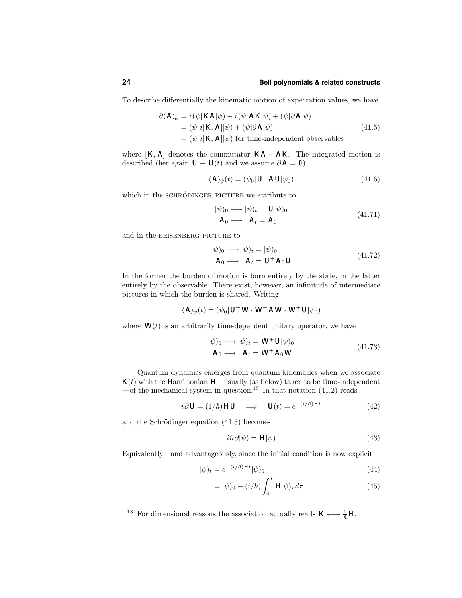To describe differentially the kinematic motion of expectation values, we have

$$
\partial \langle \mathbf{A} \rangle_{\psi} = i(\psi | \mathbf{K} \mathbf{A} | \psi) - i(\psi | \mathbf{A} \mathbf{K} | \psi) + (\psi | \partial \mathbf{A} | \psi)
$$
  
=  $(\psi | i[\mathbf{K}, \mathbf{A}] | \psi) + (\psi | \partial \mathbf{A} | \psi)$  (41.5)  
=  $(\psi | i[\mathbf{K}, \mathbf{A}] | \psi)$  for time-independent observables

where  $[K, A]$  denotes the commutator  $KA - AK$ . The integrated motion is described (her again  **and we assume**  $\partial **A** = **0**$ **)** 

$$
\langle \mathbf{A} \rangle_{\psi}(t) = (\psi_0 | \mathbf{U}^+ \mathbf{A} \mathbf{U} | \psi_0)
$$
\n(41.6)

which in the SCHRÖDINGER PICTURE we attribute to

$$
|\psi\rangle_0 \longrightarrow |\psi\rangle_t = \mathbf{U}|\psi\rangle_0
$$
  
\n
$$
\mathbf{A}_0 \longrightarrow \mathbf{A}_t = \mathbf{A}_0
$$
 (41.71)

and in the HEISENBERG PICTURE to

$$
|\psi|_{0} \longrightarrow |\psi|_{t} = |\psi|_{0}
$$
  
\n
$$
\mathbf{A}_{0} \longrightarrow \mathbf{A}_{t} = \mathbf{U}^{+} \mathbf{A}_{0} \mathbf{U}
$$
\n(41.72)

In the former the burden of motion is born entirely by the state, in the latter entirely by the observable. There exist, however, an infinitude of intermediate pictures in which the burden is shared. Writing

$$
\langle \mathbf{A} \rangle_{\psi}(t) = (\psi_0 | \mathbf{U}^+ \mathbf{W} \cdot \mathbf{W}^+ \mathbf{A} \mathbf{W} \cdot \mathbf{W}^+ \mathbf{U} | \psi_0)
$$

where  $\mathbf{W}(t)$  is an arbitrarily time-dependent unitary operator, we have

$$
|\psi|_{0} \longrightarrow |\psi|_{t} = \mathbf{W}^{+} \mathbf{U} |\psi|_{0}
$$
  
\n
$$
\mathbf{A}_{0} \longrightarrow \mathbf{A}_{t} = \mathbf{W}^{+} \mathbf{A}_{0} \mathbf{W}
$$
 (41.73)

Quantum dynamics emerges from quantum kinematics when we associate  $\mathbf{K}(t)$  with the Hamiltonian  $\mathbf{H}$ —usually (as below) taken to be time-independent —of the mechanical system in question.<sup>13</sup> In that notation  $(41.2)$  reads

$$
i\partial \mathbf{U} = (1/\hbar)\mathbf{H}\mathbf{U} \implies \mathbf{U}(t) = e^{-(i/\hbar)\mathbf{H}t} \tag{42}
$$

and the Schrödinger equation  $(41.3)$  becomes

$$
i\hbar \partial |\psi\rangle = \mathbf{H} |\psi\rangle \tag{43}
$$

Equivalently—and advantageously, since the initial condition is now explicit—

$$
|\psi)_t = e^{-(i/\hbar)Ht}|\psi)_0
$$
\n(44)

$$
= |\psi|_0 - (i/\hbar) \int_0^t \mathbf{H} |\psi\rangle_\tau d\tau \tag{45}
$$

<sup>13</sup> For dimensional reasons the association actually reads  $K \longleftrightarrow \frac{1}{\hbar} H$ .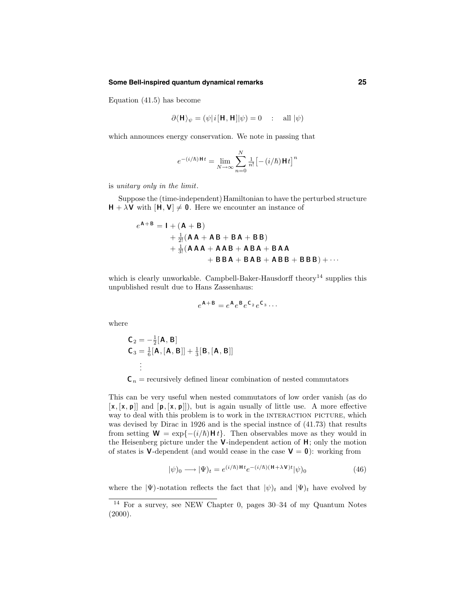#### **Some Bell-inspired quantum dynamical remarks 25**

Equation (41.5) has become

$$
\partial \langle \mathbf{H} \rangle_{\psi} = (\psi | i[\mathbf{H}, \mathbf{H}] | \psi) = 0 \quad : \text{ all } |\psi)
$$

which announces energy conservation. We note in passing that

$$
e^{-(i/\hbar)\mathbf{H}t} = \lim_{N \to \infty} \sum_{n=0}^{N} \frac{1}{n!} \left[ -(i/\hbar) \mathbf{H}t \right]^n
$$

is unitary only in the limit.

Suppose the (time-independent) Hamiltonian to have the perturbed structure  $H + \lambda V$  with  $[H, V] \neq 0$ . Here we encounter an instance of

$$
e^{A+B} = I + (A + B)
$$
  
+  $\frac{1}{2!} (AA + AB + BA + BB)$   
+  $\frac{1}{3!} (AAA + AAB + ABA + BAA + BAB + BBB)$   
+  $BBA + BAB + ABB + ABB + BBB)$  + ...

which is clearly unworkable. Campbell-Baker-Hausdorff theory<sup>14</sup> supplies this unpublished result due to Hans Zassenhaus:

$$
e^{\mathbf{A} + \mathbf{B}} = e^{\mathbf{A}} e^{\mathbf{B}} e^{\mathbf{C}_2} e^{\mathbf{C}_3} \cdots
$$

where

$$
C_2 = -\frac{1}{2}[A, B]
$$
  
\n
$$
C_3 = \frac{1}{6}[A, [A, B]] + \frac{1}{3}[B, [A, B]]
$$
  
\n
$$
\vdots
$$

 $C_n$  = recursively defined linear combination of nested commutators

This can be very useful when nested commutators of low order vanish (as do  $[x, [x, p]]$  and  $[p, [x, p]]$ , but is again usually of little use. A more effective way to deal with this problem is to work in the INTERACTION PICTURE, which was devised by Dirac in 1926 and is the special instnce of (41.73) that results from setting  $W = \exp\{-\frac{i}{\hbar}\}H t\}$ . Then observables move as they would in the Heisenberg picture under the  $V$ -independent action of  $H$ ; only the motion of states is **V**-dependent (and would cease in the case  $V = 0$ ): working from

$$
|\psi)_0 \longrightarrow |\Psi)_t = e^{(i/\hbar)Ht} e^{-(i/\hbar)(H+\lambda V)t} |\psi)_0
$$
\n(46)

where the  $|\Psi\rangle$ -notation reflects the fact that  $|\psi\rangle_t$  and  $|\Psi\rangle_t$  have evolved by

<sup>14</sup> For a survey, see NEW Chapter 0, pages 30–34 of my Quantum Notes  $(2000).$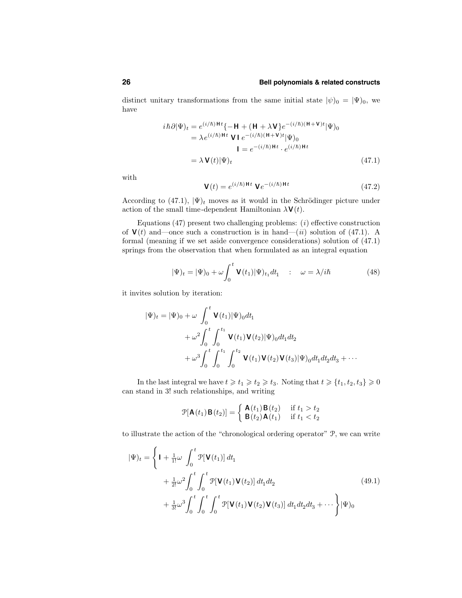distinct unitary transformations from the same initial state  $|\psi|_0 = |\Psi|_0$ , we have

$$
i\hbar \partial |\Psi\rangle_t = e^{(i/\hbar)Ht} \{-H + (H + \lambda V)e^{-(i/\hbar)(H+V)t}|\Psi\rangle_0
$$
  
\n
$$
= \lambda e^{(i/\hbar)Ht} V I e^{-(i/\hbar)(H+V)t}|\Psi\rangle_0
$$
  
\n
$$
I = e^{-(i/\hbar)Ht} \cdot e^{(i/\hbar)Ht}
$$
  
\n
$$
= \lambda V(t)|\Psi\rangle_t
$$
\n(47.1)

with

$$
\mathbf{V}(t) = e^{(i/\hbar)\mathbf{H}t} \mathbf{V} e^{-(i/\hbar)\mathbf{H}t}
$$
\n(47.2)

According to (47.1),  $|\Psi\rangle_t$  moves as it would in the Schrödinger picture under action of the small time-dependent Hamiltonian  $\lambda \mathbf{V}(t)$ .

Equations  $(47)$  present two challenging problems:  $(i)$  effective construction of  $V(t)$  and—once such a construction is in hand—(ii) solution of (47.1). A formal (meaning if we set aside convergence considerations) solution of (47.1) springs from the observation that when formulated as an integral equation

$$
|\Psi|_{t} = |\Psi|_{0} + \omega \int_{0}^{t} \mathbf{V}(t_{1})|\Psi|_{t_{1}} dt_{1} \quad : \quad \omega = \lambda/i\hbar \tag{48}
$$

it invites solution by iteration:

$$
|\Psi)_t = |\Psi|_0 + \omega \int_0^t \mathbf{V}(t_1) |\Psi|_0 dt_1
$$
  
+ 
$$
\omega^2 \int_0^t \int_0^{t_1} \mathbf{V}(t_1) \mathbf{V}(t_2) |\Psi|_0 dt_1 dt_2
$$
  
+ 
$$
\omega^3 \int_0^t \int_0^{t_1} \int_0^{t_2} \mathbf{V}(t_1) \mathbf{V}(t_2) \mathbf{V}(t_3) |\Psi|_0 dt_1 dt_2 dt_3 + \cdots
$$

In the last integral we have  $t \geq t_1 \geq t_2 \geq t_3$ . Noting that  $t \geq \{t_1, t_2, t_3\} \geq 0$ can stand in 3! such relationships, and writing

$$
\mathcal{P}[\mathbf{A}(t_1)\mathbf{B}(t_2)] = \begin{cases} \mathbf{A}(t_1)\mathbf{B}(t_2) & \text{if } t_1 > t_2 \\ \mathbf{B}(t_2)\mathbf{A}(t_1) & \text{if } t_1 < t_2 \end{cases}
$$

to illustrate the action of the "chronological ordering operator" P, we can write

$$
|\Psi\rangle_{t} = \left\{ \mathbf{I} + \frac{1}{1!} \omega \int_{0}^{t} \mathcal{P}[\mathbf{V}(t_{1})] dt_{1} + \frac{1}{2!} \omega^{2} \int_{0}^{t} \int_{0}^{t} \mathcal{P}[\mathbf{V}(t_{1}) \mathbf{V}(t_{2})] dt_{1} dt_{2} + \frac{1}{3!} \omega^{3} \int_{0}^{t} \int_{0}^{t} \int_{0}^{t} \mathcal{P}[\mathbf{V}(t_{1}) \mathbf{V}(t_{2}) \mathbf{V}(t_{3})] dt_{1} dt_{2} dt_{3} + \cdots \right\} |\Psi\rangle_{0}
$$
\n(49.1)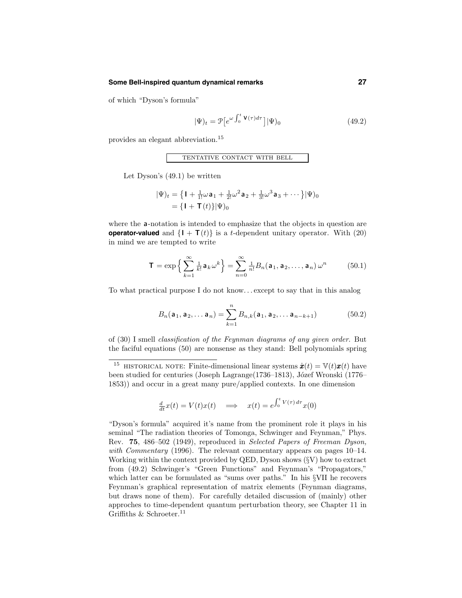#### **Some Bell-inspired quantum dynamical remarks 27**

of which "Dyson's formula"

$$
|\Psi|_{t} = \mathcal{P}\left[e^{\omega \int_{0}^{t} \mathbf{V}(\tau) d\tau}\right] |\Psi|_{0}
$$
\n(49.2)

provides an elegant abbreviation.<sup>15</sup>

tentative contact with bell

Let Dyson's (49.1) be written

$$
|\Psi\rangle_t = \left\{ \mathbf{I} + \frac{1}{1!} \omega \mathbf{a}_1 + \frac{1}{2!} \omega^2 \mathbf{a}_2 + \frac{1}{3!} \omega^3 \mathbf{a}_3 + \cdots \right\} |\Psi\rangle_0
$$
  
=  $\{ \mathbf{I} + \mathbf{T}(t) \} |\Psi\rangle_0$ 

where the **a**-notation is intended to emphasize that the objects in question are **operator-valued** and  $\{I + T(t)\}\$ is a *t*-dependent unitary operator. With (20) in mind we are tempted to write

$$
\mathbf{T} = \exp\left\{\sum_{k=1}^{\infty} \frac{1}{k!} \mathbf{a}_k \omega^k\right\} = \sum_{n=0}^{\infty} \frac{1}{n!} B_n(\mathbf{a}_1, \mathbf{a}_2, \dots, \mathbf{a}_n) \omega^n \tag{50.1}
$$

To what practical purpose I do not know. . . except to say that in this analog

$$
B_n(\mathbf{a}_1, \mathbf{a}_2, \dots \mathbf{a}_n) = \sum_{k=1}^n B_{n,k}(\mathbf{a}_1, \mathbf{a}_2, \dots \mathbf{a}_{n-k+1})
$$
(50.2)

of (30) I smell classification of the Feynman diagrams of any given order. But the faciful equations (50) are nonsense as they stand: Bell polynomials spring

$$
\frac{d}{dt}x(t) = V(t)x(t) \quad \Longrightarrow \quad x(t) = e^{\int_0^t V(\tau) d\tau} x(0)
$$

"Dyson's formula" acquired it's name from the prominent role it plays in his seminal "The radiation theories of Tomonga, Schwinger and Feynman," Phys. Rev. 75, 486–502 (1949), reproduced in Selected Papers of Freeman Dyson, with Commentary (1996). The relevant commentary appears on pages  $10-14$ . Working within the context provided by QED, Dyson shows (§V) how to extract from (49.2) Schwinger's "Green Functions" and Feynman's "Propagators," which latter can be formulated as "sums over paths." In his §VII he recovers Feynman's graphical representation of matrix elements (Feynman diagrams, but draws none of them). For carefully detailed discussion of (mainly) other approches to time-dependent quantum perturbation theory, see Chapter 11 in Griffiths & Schroeter.<sup>11</sup>

<sup>&</sup>lt;sup>15</sup> HISTORICAL NOTE: Finite-dimensional linear systems  $\dot{\boldsymbol{x}}(t) = \mathbb{V}(t)\boldsymbol{x}(t)$  have been studied for centuries (Joseph Lagrange(1736–1813), Józef Wronski (1776– 1853)) and occur in a great many pure/applied contexts. In one dimension